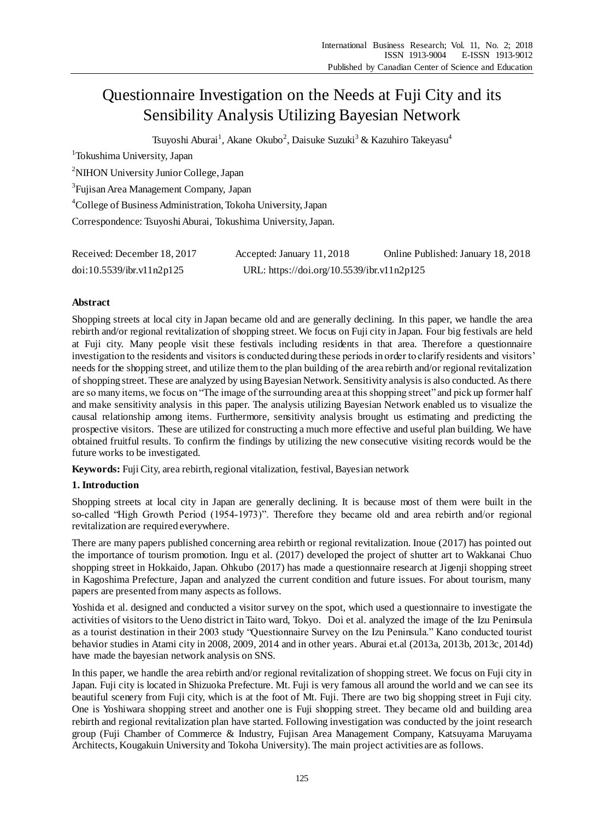# Questionnaire Investigation on the Needs at Fuji City and its Sensibility Analysis Utilizing Bayesian Network

Tsuyoshi Aburai<sup>1</sup>, Akane Okubo<sup>2</sup>, Daisuke Suzuki<sup>3</sup> & Kazuhiro Takeyasu<sup>4</sup>

1 Tokushima University, Japan

<sup>2</sup>NIHON University Junior College, Japan

3 Fujisan Area Management Company, Japan

<sup>4</sup>College of Business Administration, Tokoha University, Japan

Correspondence: Tsuyoshi Aburai, Tokushima University, Japan.

| Received: December 18, 2017 | Accepted: January 11, 2018                 | Online Published: January 18, 2018 |
|-----------------------------|--------------------------------------------|------------------------------------|
| doi:10.5539/ibr.v11n2p125   | URL: https://doi.org/10.5539/ibr.v11n2p125 |                                    |

## **Abstract**

Shopping streets at local city in Japan became old and are generally declining. In this paper, we handle the area rebirth and/or regional revitalization of shopping street. We focus on Fuji city in Japan. Four big festivals are held at Fuji city. Many people visit these festivals including residents in that area. Therefore a questionnaire investigation to the residents and visitors is conducted during these periods in order to clarify residents and visitors' needs for the shopping street, and utilize them to the plan building of the area rebirth and/or regional revitalization of shopping street. These are analyzed by using Bayesian Network. Sensitivity analysis is also conducted. As there are so many items, we focus on "The image of the surrounding area at this shopping street" and pick up former half and make sensitivity analysis in this paper. The analysis utilizing Bayesian Network enabled us to visualize the causal relationship among items. Furthermore, sensitivity analysis brought us estimating and predicting the prospective visitors. These are utilized for constructing a much more effective and useful plan building. We have obtained fruitful results. To confirm the findings by utilizing the new consecutive visiting records would be the future works to be investigated.

**Keywords:** Fuji City, area rebirth, regional vitalization, festival, Bayesian network

# **1. Introduction**

Shopping streets at local city in Japan are generally declining. It is because most of them were built in the so-called "High Growth Period (1954-1973)". Therefore they became old and area rebirth and/or regional revitalization are required everywhere.

There are many papers published concerning area rebirth or regional revitalization. Inoue (2017) has pointed out the importance of tourism promotion. Ingu et al. (2017) developed the project of shutter art to Wakkanai Chuo shopping street in Hokkaido, Japan. Ohkubo (2017) has made a questionnaire research at Jigenji shopping street in Kagoshima Prefecture, Japan and analyzed the current condition and future issues. For about tourism, many papers are presented from many aspects as follows.

Yoshida et al. designed and conducted a visitor survey on the spot, which used a questionnaire to investigate the activities of visitors to the Ueno district in Taito ward, Tokyo. Doi et al. analyzed the image of the Izu Peninsula as a tourist destination in their 2003 study "Questionnaire Survey on the Izu Peninsula." Kano conducted tourist behavior studies in Atami city in 2008, 2009, 2014 and in other years. Aburai et.al (2013a, 2013b, 2013c, 2014d) have made the bayesian network analysis on SNS.

In this paper, we handle the area rebirth and/or regional revitalization of shopping street. We focus on Fuji city in Japan. Fuji city is located in Shizuoka Prefecture. Mt. Fuji is very famous all around the world and we can see its beautiful scenery from Fuji city, which is at the foot of Mt. Fuji. There are two big shopping street in Fuji city. One is Yoshiwara shopping street and another one is Fuji shopping street. They became old and building area rebirth and regional revitalization plan have started. Following investigation was conducted by the joint research group (Fuji Chamber of Commerce & Industry, Fujisan Area Management Company, Katsuyama Maruyama Architects, Kougakuin University and Tokoha University). The main project activities are as follows.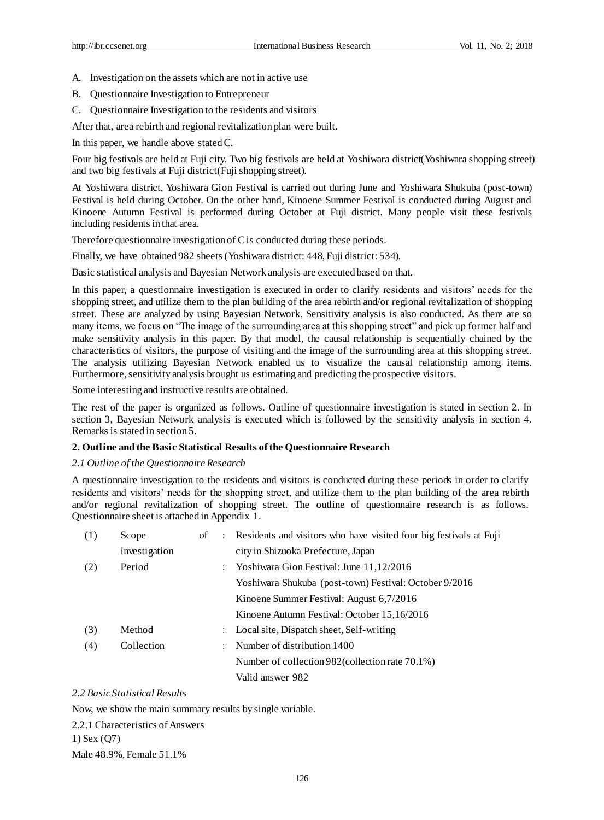- A. Investigation on the assets which are not in active use
- B. Questionnaire Investigation to Entrepreneur
- C. Questionnaire Investigation to the residents and visitors

After that, area rebirth and regional revitalization plan were built.

In this paper, we handle above stated C.

Four big festivals are held at Fuji city. Two big festivals are held at Yoshiwara district(Yoshiwara shopping street) and two big festivals at Fuji district(Fuji shopping street).

At Yoshiwara district, Yoshiwara Gion Festival is carried out during June and Yoshiwara Shukuba (post-town) Festival is held during October. On the other hand, Kinoene Summer Festival is conducted during August and Kinoene Autumn Festival is performed during October at Fuji district. Many people visit these festivals including residents in that area.

Therefore questionnaire investigation of C is conducted during these periods.

Finally, we have obtained 982 sheets (Yoshiwara district: 448, Fuji district: 534).

Basic statistical analysis and Bayesian Network analysis are executed based on that.

In this paper, a questionnaire investigation is executed in order to clarify residents and visitors' needs for the shopping street, and utilize them to the plan building of the area rebirth and/or regional revitalization of shopping street. These are analyzed by using Bayesian Network. Sensitivity analysis is also conducted. As there are so many items, we focus on "The image of the surrounding area at this shopping street" and pick up former half and make sensitivity analysis in this paper. By that model, the causal relationship is sequentially chained by the characteristics of visitors, the purpose of visiting and the image of the surrounding area at this shopping street. The analysis utilizing Bayesian Network enabled us to visualize the causal relationship among items. Furthermore, sensitivity analysis brought us estimating and predicting the prospective visitors.

Some interesting and instructive results are obtained.

The rest of the paper is organized as follows. Outline of questionnaire investigation is stated in section 2. In section 3, Bayesian Network analysis is executed which is followed by the sensitivity analysis in section 4. Remarks is stated in section 5.

#### **2. Outline and the Basic Statistical Results of the Questionnaire Research**

#### *2.1 Outline of the Questionnaire Research*

A questionnaire investigation to the residents and visitors is conducted during these periods in order to clarify residents and visitors' needs for the shopping street, and utilize them to the plan building of the area rebirth and/or regional revitalization of shopping street. The outline of questionnaire research is as follows. Questionnaire sheet is attached in Appendix 1.

| (1) | Scope         | of | : Residents and visitors who have visited four big festivals at Fuji |
|-----|---------------|----|----------------------------------------------------------------------|
|     | investigation |    | city in Shizuoka Prefecture, Japan                                   |
| (2) | Period        |    | : Yoshiwara Gion Festival: June 11,12/2016                           |
|     |               |    | Yoshiwara Shukuba (post-town) Festival: October 9/2016               |
|     |               |    | Kinoene Summer Festival: August 6,7/2016                             |
|     |               |    | Kinoene Autumn Festival: October 15,16/2016                          |
| (3) | Method        |    | : Local site, Dispatch sheet, Self-writing                           |
| (4) | Collection    |    | Number of distribution 1400                                          |
|     |               |    | Number of collection 982 (collection rate 70.1%)                     |
|     |               |    | Valid answer 982                                                     |

#### *2.2 Basic Statistical Results*

Now, we show the main summary results by single variable.

2.2.1 Characteristics of Answers

1) Sex (Q7)

Male 48.9%, Female 51.1%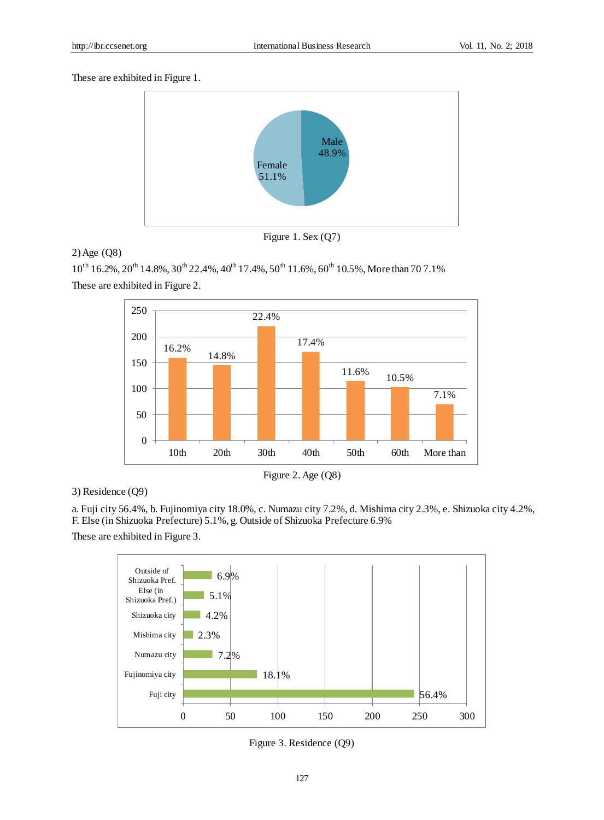These are exhibited in Figure 1.



Figure 1. Sex (Q7)

2) Age (Q8)

 $10^{th}$  16.2%,  $20^{th}$  14.8%,  $30^{th}$  22.4%,  $40^{th}$  17.4%,  $50^{th}$  11.6%,  $60^{th}$  10.5%, More than 70 7.1% These are exhibited in Figure 2.



Figure 2. Age (Q8)

a. Fuji city 56.4%, b. Fujinomiya city 18.0%, c. Numazu city 7.2%, d. Mishima city 2.3%, e. Shizuoka city 4.2%, F. Else (in Shizuoka Prefecture) 5.1%, g. Outside of Shizuoka Prefecture 6.9%

These are exhibited in Figure 3.



Figure 3. Residence (Q9)

<sup>3)</sup> Residence (Q9)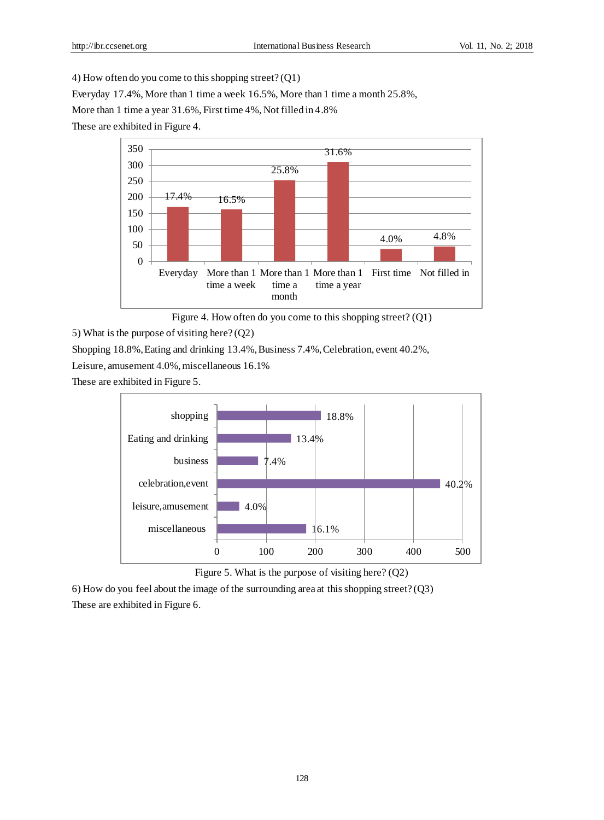4) How often do you come to this shopping street? (Q1)

Everyday 17.4%, More than 1 time a week 16.5%, More than 1 time a month 25.8%,

More than 1 time a year 31.6%, First time 4%, Not filled in 4.8%

These are exhibited in Figure 4.



Figure 4. How often do you come to this shopping street? (Q1)

5) What is the purpose of visiting here? (Q2)

Shopping 18.8%, Eating and drinking 13.4%, Business 7.4%, Celebration, event 40.2%,

Leisure, amusement 4.0%, miscellaneous 16.1%

These are exhibited in Figure 5.



Figure 5. What is the purpose of visiting here? (Q2)

6) How do you feel about the image of the surrounding area at this shopping street? (Q3) These are exhibited in Figure 6.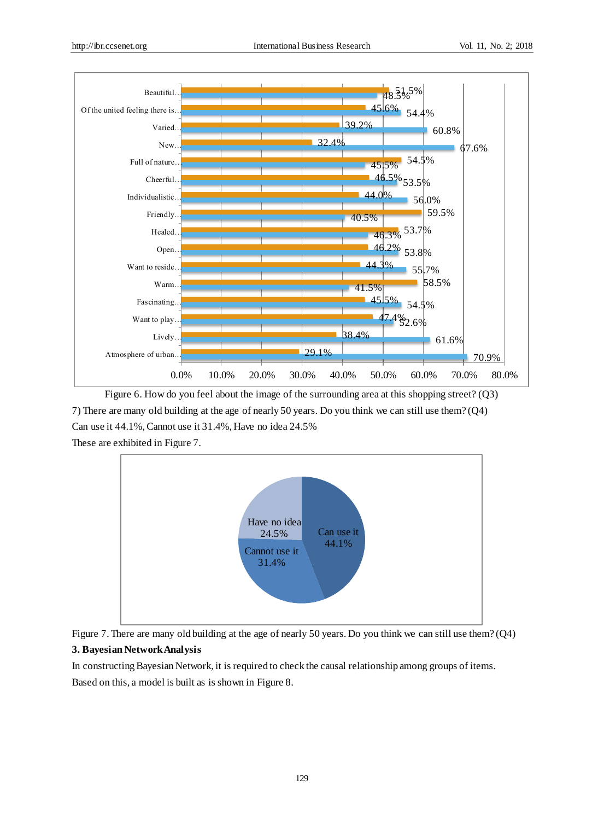

Figure 6. How do you feel about the image of the surrounding area at this shopping street? (Q3) 7) There are many old building at the age of nearly 50 years. Do you think we can still use them? (Q4) Can use it 44.1%, Cannot use it 31.4%, Have no idea 24.5%

These are exhibited in Figure 7.





In constructing Bayesian Network, it is required to check the causal relationship among groups of items. Based on this, a model is built as is shown in Figure 8.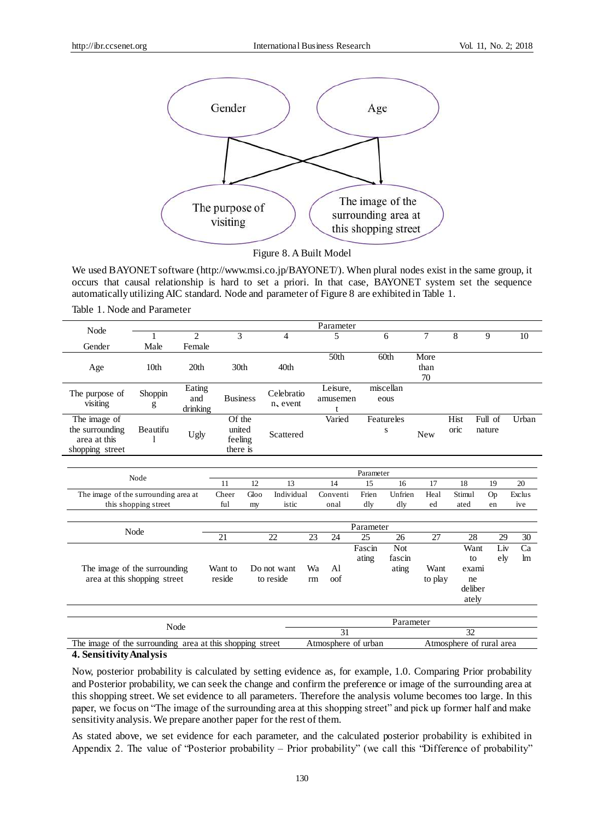

Figure 8. A Built Model

We used BAYONET software [\(http://www.msi.co.jp/BAYONET/\)](http://www.msi.co.jp/BAYONET/). When plural nodes exist in the same group, it occurs that causal relationship is hard to set a priori. In that case, BAYONET system set the sequence automatically utilizing AIC standard. Node and parameter of Figure 8 are exhibited in Table 1.

Table 1. Node and Parameter

| Node                                                      |                      |                |                   |      |             |    | Parameter           |           |            |            |                          |         |     |        |
|-----------------------------------------------------------|----------------------|----------------|-------------------|------|-------------|----|---------------------|-----------|------------|------------|--------------------------|---------|-----|--------|
|                                                           | 1                    | $\mathfrak{D}$ | 3                 |      | 4           |    | $\overline{5}$      |           | 6          | 7          | 8                        | 9       |     | 10     |
| Gender                                                    | Male                 | Female         |                   |      |             |    |                     |           |            |            |                          |         |     |        |
|                                                           |                      |                |                   |      |             |    | 50th                |           | 60th       | More       |                          |         |     |        |
| Age                                                       | 10th                 | 20th           | 30th              |      | 40th        |    |                     |           |            | than       |                          |         |     |        |
|                                                           |                      |                |                   |      |             |    |                     |           |            | 70         |                          |         |     |        |
| The purpose of                                            | Shoppin              | Eating         |                   |      | Celebratio  |    | Leisure,            |           | miscellan  |            |                          |         |     |        |
| visiting                                                  | g                    | and            | <b>Business</b>   |      | n, event    |    | amusemen            |           | eous       |            |                          |         |     |        |
|                                                           |                      | drinking       |                   |      |             |    |                     |           |            |            |                          |         |     |        |
| The image of                                              |                      |                | Of the            |      |             |    | Varied              |           | Featureles |            | Hist                     | Full of |     | Urban  |
| the surrounding<br>area at this                           | Beautifu             | Ugly           | united<br>feeling |      | Scattered   |    |                     |           | S          | <b>New</b> | oric                     | nature  |     |        |
| shopping street                                           |                      |                | there is          |      |             |    |                     |           |            |            |                          |         |     |        |
|                                                           |                      |                |                   |      |             |    |                     |           |            |            |                          |         |     |        |
|                                                           |                      |                |                   |      |             |    |                     | Parameter |            |            |                          |         |     |        |
|                                                           | Node                 |                | 11                | 12   | 13          |    | 14                  | 15        | 16         | 17         | 18                       | 19      |     | 20     |
| The image of the surrounding area at                      |                      |                | Cheer             | Gloo | Individual  |    | Conventi            | Frien     | Unfrien    | Heal       | Stimul                   | Op      |     | Exclus |
|                                                           | this shopping street |                | ful               | my   | istic       |    | onal                | dly       | dly        | ed         | ated                     | en      |     | ive    |
|                                                           |                      |                |                   |      |             |    |                     |           |            |            |                          |         |     |        |
|                                                           |                      |                |                   |      |             |    |                     | Parameter |            |            |                          |         |     |        |
|                                                           | Node                 |                | 21                |      | 22          | 23 | 24                  | 25        | 26         | 27         | 28                       |         | 29  | 30     |
|                                                           |                      |                |                   |      |             |    |                     | Fascin    | <b>Not</b> |            | Want                     |         | Liv | Ca     |
|                                                           |                      |                |                   |      |             |    |                     | ating     | fascin     |            | to                       |         | ely | lm     |
| The image of the surrounding                              |                      |                | Want to           |      | Do not want | Wa | Al                  |           | ating      | Want       | exami                    |         |     |        |
| area at this shopping street                              |                      |                | reside            |      | to reside   | rm | oof                 |           |            | to play    | ne                       |         |     |        |
|                                                           |                      |                |                   |      |             |    |                     |           |            |            | deliber                  |         |     |        |
|                                                           |                      |                |                   |      |             |    |                     |           |            |            | ately                    |         |     |        |
|                                                           |                      |                |                   |      |             |    |                     |           |            |            |                          |         |     |        |
|                                                           | Node                 |                |                   |      |             |    |                     |           | Parameter  |            |                          |         |     |        |
|                                                           |                      |                |                   |      |             |    | 31                  |           |            |            | 32                       |         |     |        |
| The image of the surrounding area at this shopping street |                      |                |                   |      |             |    | Atmosphere of urban |           |            |            | Atmosphere of rural area |         |     |        |

#### **4. Sensitivity Analysis**

Now, posterior probability is calculated by setting evidence as, for example, 1.0. Comparing Prior probability and Posterior probability, we can seek the change and confirm the preference or image of the surrounding area at this shopping street. We set evidence to all parameters. Therefore the analysis volume becomes too large. In this paper, we focus on "The image of the surrounding area at this shopping street" and pick up former half and make sensitivity analysis. We prepare another paper for the rest of them.

As stated above, we set evidence for each parameter, and the calculated posterior probability is exhibited in Appendix 2. The value of "Posterior probability – Prior probability" (we call this "Difference of probability"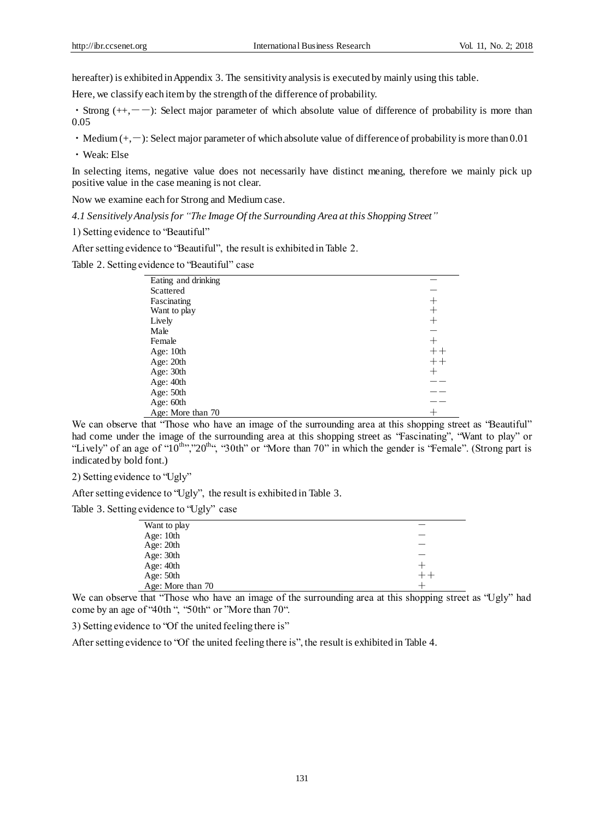hereafter) is exhibited in Appendix 3. The sensitivity analysis is executed by mainly using this table.

Here, we classify each item by the strength of the difference of probability.

• Strong  $(+,--)$ : Select major parameter of which absolute value of difference of probability is more than 0.05

- $\cdot$  Medium  $(+,-)$ : Select major parameter of which absolute value of difference of probability is more than 0.01
- ・Weak: Else

In selecting items, negative value does not necessarily have distinct meaning, therefore we mainly pick up positive value in the case meaning is not clear.

Now we examine each for Strong and Medium case.

*4.1 Sensitively Analysis for "The Image Of the Surrounding Area at this Shopping Street"*

1) Setting evidence to "Beautiful"

After setting evidence to "Beautiful", the result is exhibited in Table 2.

Table 2. Setting evidence to "Beautiful" case

| Eating and drinking |                    |
|---------------------|--------------------|
| Scattered           |                    |
| Fascinating         |                    |
| Want to play        |                    |
| Lively              | $^{+}$             |
| Male                |                    |
| Female              |                    |
| Age: $10th$         | $++$               |
| Age: 20th           | $++$               |
| Age: 30th           | $\hspace{0.1mm} +$ |
| Age: 40th           |                    |
| Age: 50th           |                    |
| Age: 60th           |                    |
| Age: More than 70   |                    |

We can observe that "Those who have an image of the surrounding area at this shopping street as "Beautiful" had come under the image of the surrounding area at this shopping street as "Fascinating", "Want to play" or "Lively" of an age of "10<sup>th</sup>","20<sup>th</sup>", "30th" or "More than 70" in which the gender is "Female". (Strong part is indicated by bold font.)

2) Setting evidence to "Ugly"

After setting evidence to "Ugly", the result is exhibited in Table 3.

Table 3. Setting evidence to "Ugly" case

| Want to play      |      |
|-------------------|------|
| Age: $10th$       |      |
| Age: $20th$       |      |
| Age: 30th         |      |
| Age: $40th$       |      |
| Age: $50th$       | $++$ |
| Age: More than 70 |      |

We can observe that "Those who have an image of the surrounding area at this shopping street as "Ugly" had come by an age of "40th ", "50th" or "More than 70".

3) Setting evidence to "Of the united feeling there is"

After setting evidence to "Of the united feeling there is", the result is exhibited in Table 4.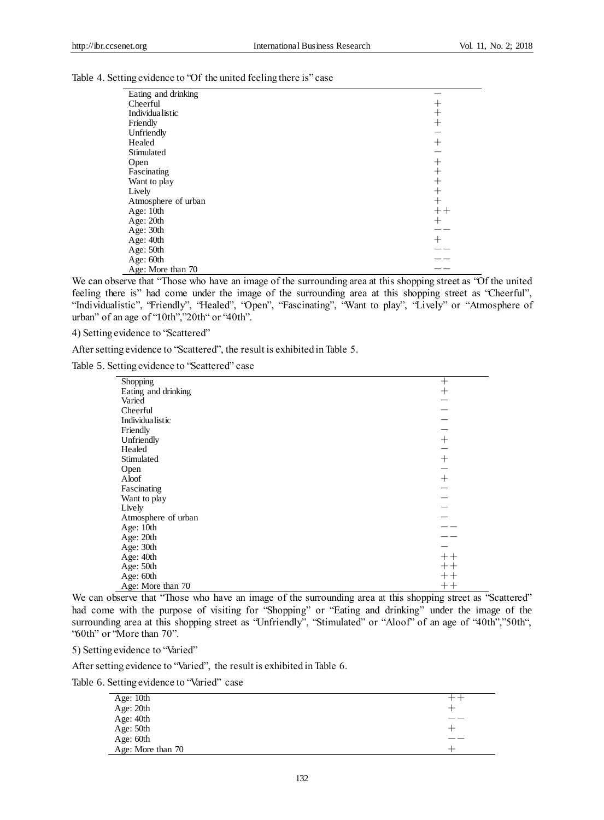#### Table 4. Setting evidence to "Of the united feeling there is" case

| Eating and drinking |        |
|---------------------|--------|
|                     |        |
| Cheerful            |        |
| Individualistic     |        |
| Friendly            | $^{+}$ |
| Unfriendly          |        |
| Healed              | $^{+}$ |
| Stimulated          |        |
| Open                | $^{+}$ |
| Fascinating         |        |
| Want to play        |        |
| Lively              |        |
| Atmosphere of urban |        |
| Age: 10th           | $++$   |
| Age: 20th           | $^{+}$ |
| Age: 30th           |        |
| Age: 40th           | $+$    |
| Age: 50th           |        |
| Age: 60th           |        |
| Age: More than 70   |        |

We can observe that "Those who have an image of the surrounding area at this shopping street as "Of the united" feeling there is" had come under the image of the surrounding area at this shopping street as "Cheerful", "Individualistic", "Friendly", "Healed", "Open", "Fascinating", "Want to play", "Lively" or "Atmosphere of urban" of an age of "10th","20th" or "40th".

4) Setting evidence to "Scattered"

After setting evidence to "Scattered", the result is exhibited in Table 5.

Table 5. Setting evidence to "Scattered" case

| Shopping            |        |
|---------------------|--------|
| Eating and drinking |        |
| Varied              |        |
| Cheerful            |        |
| Individualistic     |        |
| Friendly            |        |
| Unfriendly          | $^{+}$ |
| Healed              |        |
| Stimulated          | $^{+}$ |
| Open                |        |
| Aloof               | $^{+}$ |
| Fascinating         |        |
| Want to play        |        |
| Lively              |        |
| Atmosphere of urban |        |
| Age: 10th           |        |
| Age: 20th           |        |
| Age: 30th           |        |
| Age: 40th           | $++$   |
| Age: 50th           | $++$   |
| Age: 60th           | $++$   |
| Age: More than 70   | $^+$   |

We can observe that "Those who have an image of the surrounding area at this shopping street as "Scattered" had come with the purpose of visiting for "Shopping" or "Eating and drinking" under the image of the surrounding area at this shopping street as "Unfriendly", "Stimulated" or "Aloof" of an age of "40th","50th", "60th" or "More than 70".

5) Setting evidence to "Varied"

After setting evidence to "Varied", the result is exhibited in Table 6.

Table 6. Setting evidence to "Varied" case

| Age: 10th         |  |
|-------------------|--|
| Age: 20th         |  |
| Age: 40th         |  |
| Age: 50th         |  |
| Age: 60th         |  |
| Age: More than 70 |  |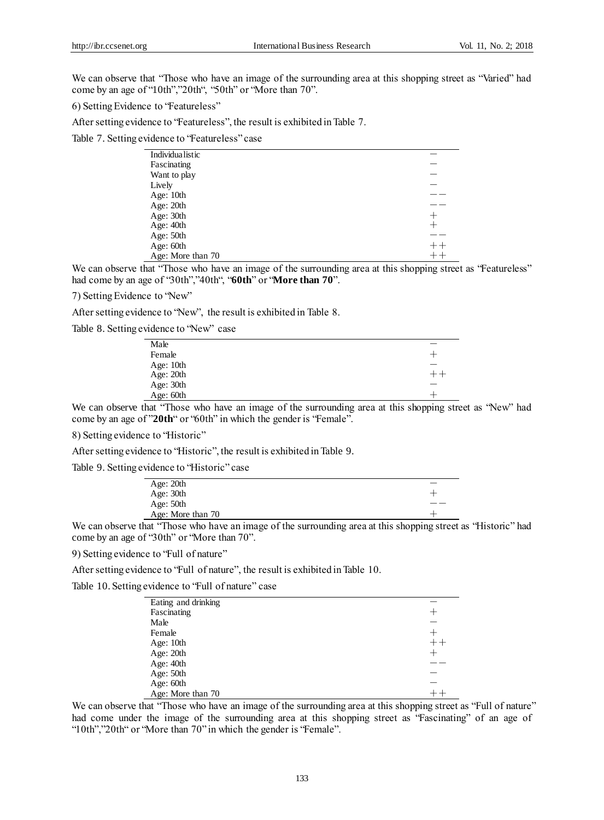We can observe that "Those who have an image of the surrounding area at this shopping street as "Varied" had come by an age of "10th","20th", "50th" or "More than 70".

6) Setting Evidence to "Featureless"

After setting evidence to "Featureless", the result is exhibited in Table 7.

Table 7. Setting evidence to "Featureless" case

| Individualistic   |                    |
|-------------------|--------------------|
| Fascinating       |                    |
| Want to play      |                    |
| Lively            |                    |
| Age: 10th         |                    |
| Age: 20th         |                    |
| Age: 30th         | $^{+}$             |
| Age: 40th         | $\hspace{0.1mm} +$ |
| Age: 50th         |                    |
| Age: 60th         |                    |
| Age: More than 70 |                    |

We can observe that "Those who have an image of the surrounding area at this shopping street as "Featureless" had come by an age of "30th","40th", "**60th**" or "**More than 70**".

7) Setting Evidence to "New"

After setting evidence to "New", the result is exhibited in Table 8.

Table 8. Setting evidence to "New" case

| Male      |  |
|-----------|--|
| Female    |  |
| Age: 10th |  |
| Age: 20th |  |
| Age: 30th |  |
| Age: 60th |  |

We can observe that "Those who have an image of the surrounding area at this shopping street as "New" had come by an age of "**20th**" or "60th" in which the gender is "Female".

8) Setting evidence to "Historic"

After setting evidence to "Historic", the result is exhibited in Table 9.

Table 9. Setting evidence to "Historic" case

| Age: 20th                   |     |               |   |  |
|-----------------------------|-----|---------------|---|--|
| Age: $30th$                 |     |               |   |  |
| Age: 50th                   |     |               |   |  |
| Age: More than 70           |     |               |   |  |
| $\sim$ $\sim$ $\sim$ $\sim$ | - - | $\sim$ $\sim$ | . |  |

We can observe that "Those who have an image of the surrounding area at this shopping street as "Historic" had come by an age of "30th" or "More than 70".

9) Setting evidence to "Full of nature"

After setting evidence to "Full of nature", the result is exhibited in Table 10.

Table 10. Setting evidence to "Full of nature" case

| Eating and drinking |                    |
|---------------------|--------------------|
| Fascinating         | $\hspace{0.1mm} +$ |
| Male                |                    |
| Female              |                    |
| Age: $10th$         |                    |
| Age: 20th           | $\hspace{0.1mm} +$ |
| Age: 40th           |                    |
| Age: 50th           |                    |
| Age: 60th           |                    |
| Age: More than 70   |                    |

We can observe that "Those who have an image of the surrounding area at this shopping street as "Full of nature" had come under the image of the surrounding area at this shopping street as "Fascinating" of an age of "10th","20th" or "More than 70" in which the gender is "Female".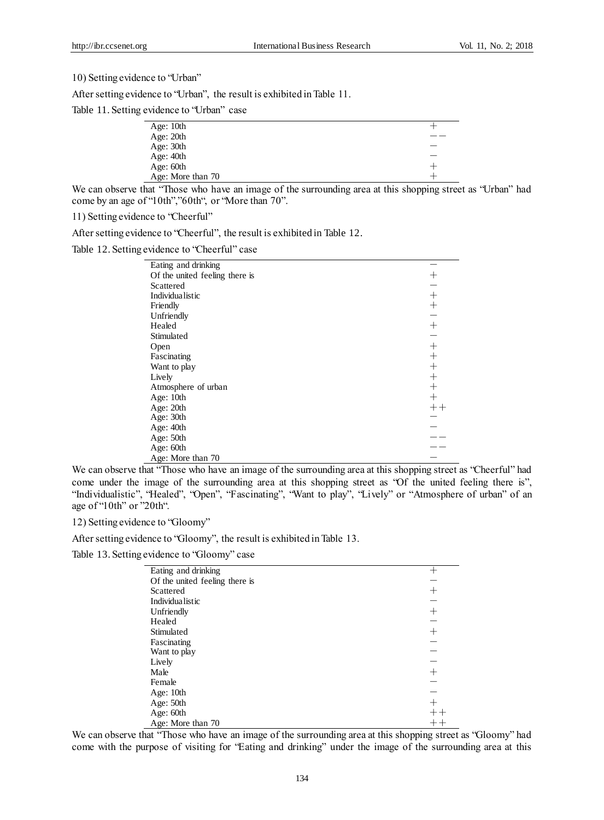## 10) Setting evidence to "Urban"

After setting evidence to "Urban", the result is exhibited in Table 11.

Table 11. Setting evidence to "Urban" case

| Age: $10th$       |  |
|-------------------|--|
| Age: $20th$       |  |
| Age: $30th$       |  |
| Age: $40th$       |  |
| Age: $60th$       |  |
| Age: More than 70 |  |

We can observe that "Those who have an image of the surrounding area at this shopping street as "Urban" had come by an age of "10th","60th", or "More than 70".

11) Setting evidence to "Cheerful"

After setting evidence to "Cheerful", the result is exhibited in Table 12.

Table 12. Setting evidence to "Cheerful" case

| Eating and drinking            |               |
|--------------------------------|---------------|
| Of the united feeling there is |               |
| Scattered                      |               |
| Individua listic               | $^{+}$        |
| Friendly                       | $\ddot{}$     |
| Unfriendly                     |               |
| Healed                         | $\! + \!$     |
| Stimulated                     |               |
| Open                           | $\frac{-}{+}$ |
| Fascinating                    | $+ +$         |
| Want to play                   |               |
| Lively                         |               |
| Atmosphere of urban            |               |
| Age: $10th$                    | $+$           |
| Age: 20th                      | $++$          |
| Age: 30th                      |               |
| Age: 40th                      |               |
| Age: 50th                      |               |
| Age: 60th                      |               |
| Age: More than 70              |               |

We can observe that "Those who have an image of the surrounding area at this shopping street as "Cheerful" had come under the image of the surrounding area at this shopping street as "Of the united feeling there is", "Individualistic", "Healed", "Open", "Fascinating", "Want to play", "Lively" or "Atmosphere of urban" of an age of "10th" or "20th".

12) Setting evidence to "Gloomy"

After setting evidence to "Gloomy", the result is exhibited in Table 13.

Table 13. Setting evidence to "Gloomy" case

| Eating and drinking            |        |
|--------------------------------|--------|
| Of the united feeling there is |        |
| Scattered                      | $^{+}$ |
| Individua listic               |        |
| Unfriendly                     | $+$    |
| Healed                         |        |
| Stimulated                     | $+$    |
| Fascinating                    |        |
| Want to play                   |        |
| Lively                         |        |
| Male                           |        |
| Female                         |        |
| Age: 10th                      |        |
| Age: 50th                      |        |
| Age: 60th                      | $++$   |
| Age: More than 70              |        |

We can observe that "Those who have an image of the surrounding area at this shopping street as "Gloomy" had come with the purpose of visiting for "Eating and drinking" under the image of the surrounding area at this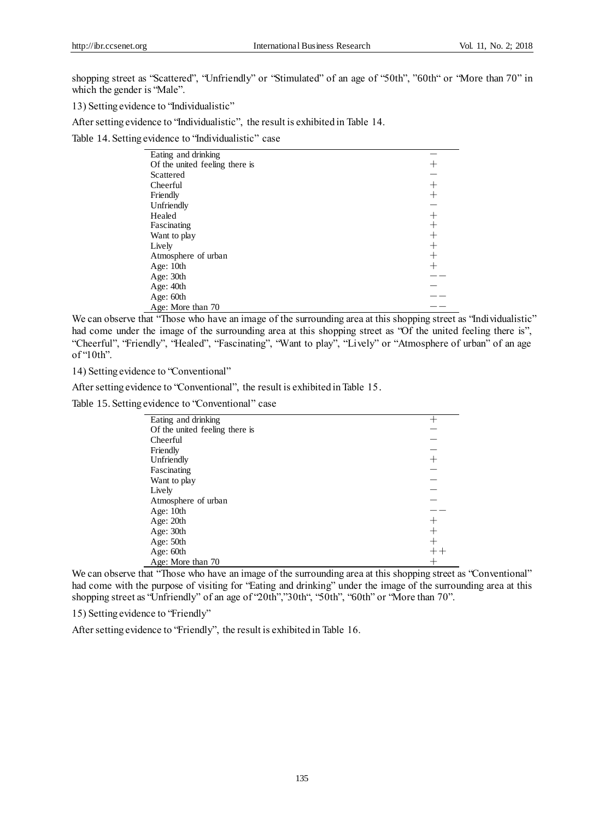shopping street as "Scattered", "Unfriendly" or "Stimulated" of an age of "50th", "60th" or "More than 70" in which the gender is "Male".

13) Setting evidence to "Individualistic"

After setting evidence to "Individualistic", the result is exhibited in Table 14.

Table 14. Setting evidence to "Individualistic" case

| Eating and drinking            |                       |
|--------------------------------|-----------------------|
| Of the united feeling there is | $^{+}$                |
| Scattered                      |                       |
| Cheerful                       | $+ + - + + + + + + +$ |
| Friendly                       |                       |
| Unfriendly                     |                       |
| Healed                         |                       |
| Fascinating                    |                       |
| Want to play                   |                       |
| Lively                         |                       |
| Atmosphere of urban            |                       |
| Age: 10th                      |                       |
| Age: 30th                      |                       |
| Age: 40th                      |                       |
| Age: 60th                      |                       |
| Age: More than 70              |                       |

We can observe that "Those who have an image of the surrounding area at this shopping street as "Individualistic" had come under the image of the surrounding area at this shopping street as "Of the united feeling there is", "Cheerful", "Friendly", "Healed", "Fascinating", "Want to play", "Lively" or "Atmosphere of urban" of an age of "10th".

14) Setting evidence to "Conventional"

After setting evidence to "Conventional", the result is exhibited in Table 15.

Table 15. Setting evidence to "Conventional" case

| Eating and drinking            | ᆠ                  |
|--------------------------------|--------------------|
| Of the united feeling there is |                    |
| Cheerful                       |                    |
| Friendly                       |                    |
| Unfriendly                     |                    |
| Fascinating                    |                    |
| Want to play                   |                    |
| Lively                         |                    |
| Atmosphere of urban            |                    |
| Age: 10th                      |                    |
| Age: 20th                      |                    |
| Age: 30th                      | $\hspace{0.1mm} +$ |
| Age: $50th$                    | $+$                |
| Age: 60th                      |                    |
| Age: More than 70              |                    |

We can observe that "Those who have an image of the surrounding area at this shopping street as "Conventional" had come with the purpose of visiting for "Eating and drinking" under the image of the surrounding area at this shopping street as "Unfriendly" of an age of "20th","30th", "50th", "60th" or "More than 70".

15) Setting evidence to "Friendly"

After setting evidence to "Friendly", the result is exhibited in Table 16.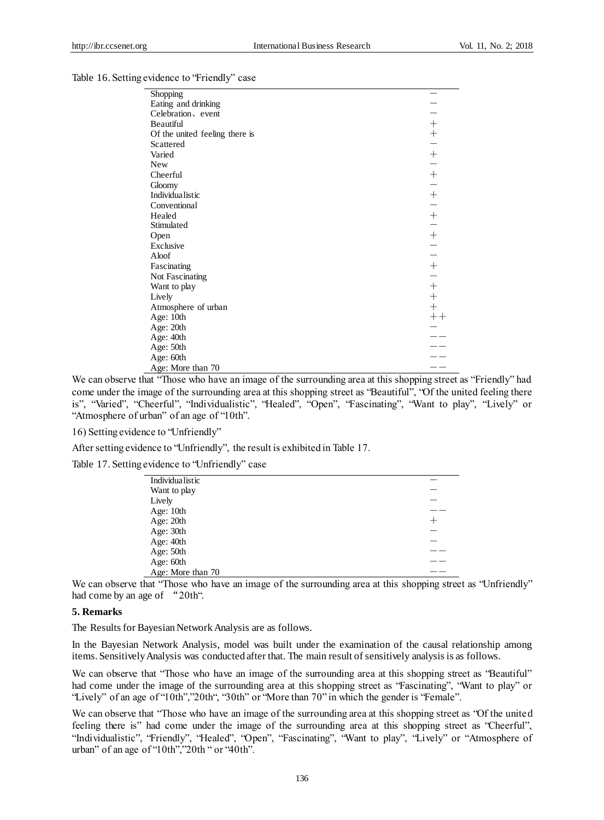Table 16. Setting evidence to "Friendly" case

| Shopping                       |                      |
|--------------------------------|----------------------|
| Eating and drinking            |                      |
| Celebration, event             |                      |
| Beautiful                      |                      |
| Of the united feeling there is | $+$                  |
| Scattered                      |                      |
| Varied                         |                      |
| New                            |                      |
| Cheerful                       |                      |
| Gloomy                         |                      |
| Individua listic               |                      |
| Conventional                   | ー ナー ナー ナー ナー ナー ー ナ |
| Healed                         |                      |
| Stimulated                     |                      |
| Open                           |                      |
| Exclusive                      |                      |
| Aloof                          |                      |
| Fascinating                    |                      |
| Not Fascinating                |                      |
| Want to play                   | $-$<br>$+$<br>$+$    |
| Lively                         |                      |
| Atmosphere of urban            | $\! + \!$            |
| Age: 10th                      | $++$                 |
| Age: 20th                      | $\bar{a}$            |
| Age: 40th                      |                      |
| Age: 50th                      |                      |
| Age: 60th                      |                      |
| Age: More than 70              |                      |

We can observe that "Those who have an image of the surrounding area at this shopping street as "Friendly" had come under the image of the surrounding area at this shopping street as "Beautiful", "Of the united feeling there is", "Varied", "Cheerful", "Individualistic", "Healed", "Open", "Fascinating", "Want to play", "Lively" or "Atmosphere of urban" of an age of "10th".

16) Setting evidence to "Unfriendly"

After setting evidence to "Unfriendly", the result is exhibited in Table 17.

Table 17. Setting evidence to "Unfriendly" case

| Individualistic   |                    |
|-------------------|--------------------|
| Want to play      |                    |
| Lively            |                    |
| Age: $10th$       |                    |
| Age: 20th         | $\hspace{0.1mm} +$ |
| Age: 30th         |                    |
| Age: 40th         |                    |
| Age: 50th         |                    |
| Age: 60th         |                    |
| Age: More than 70 |                    |

We can observe that "Those who have an image of the surrounding area at this shopping street as "Unfriendly" had come by an age of "20th".

#### **5. Remarks**

The Results for Bayesian Network Analysis are as follows.

In the Bayesian Network Analysis, model was built under the examination of the causal relationship among items. Sensitively Analysis was conducted after that. The main result of sensitively analysis is as follows.

We can observe that "Those who have an image of the surrounding area at this shopping street as "Beautiful" had come under the image of the surrounding area at this shopping street as "Fascinating", "Want to play" or "Lively" of an age of "10th","20th", "30th" or "More than 70" in which the gender is "Female".

We can observe that "Those who have an image of the surrounding area at this shopping street as "Of the united feeling there is" had come under the image of the surrounding area at this shopping street as "Cheerful", "Individualistic", "Friendly", "Healed", "Open", "Fascinating", "Want to play", "Lively" or "Atmosphere of urban" of an age of "10th","20th " or "40th".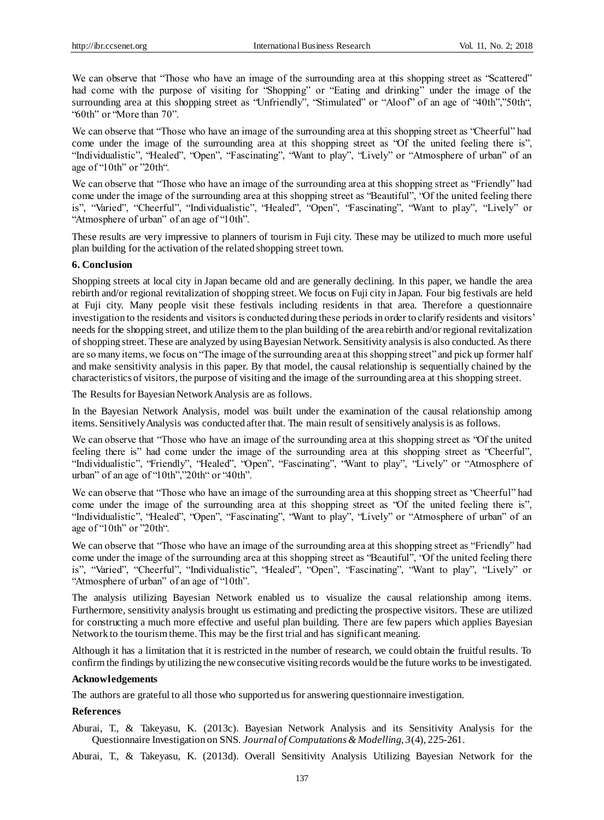We can observe that "Those who have an image of the surrounding area at this shopping street as "Scattered" had come with the purpose of visiting for "Shopping" or "Eating and drinking" under the image of the surrounding area at this shopping street as "Unfriendly", "Stimulated" or "Aloof" of an age of "40th","50th", "60th" or "More than 70".

We can observe that "Those who have an image of the surrounding area at this shopping street as "Cheerful" had come under the image of the surrounding area at this shopping street as "Of the united feeling there is", "Individualistic", "Healed", "Open", "Fascinating", "Want to play", "Lively" or "Atmosphere of urban" of an age of "10th" or "20th".

We can observe that "Those who have an image of the surrounding area at this shopping street as "Friendly" had come under the image of the surrounding area at this shopping street as "Beautiful", "Of the united feeling there is", "Varied", "Cheerful", "Individualistic", "Healed", "Open", "Fascinating", "Want to play", "Lively" or "Atmosphere of urban" of an age of "10th".

These results are very impressive to planners of tourism in Fuji city. These may be utilized to much more useful plan building for the activation of the related shopping street town.

#### **6. Conclusion**

Shopping streets at local city in Japan became old and are generally declining. In this paper, we handle the area rebirth and/or regional revitalization of shopping street. We focus on Fuji city in Japan. Four big festivals are held at Fuji city. Many people visit these festivals including residents in that area. Therefore a questionnaire investigation to the residents and visitors is conducted during these periods in order to clarify residents and visitors' needs for the shopping street, and utilize them to the plan building of the area rebirth and/or regional revitalization of shopping street. These are analyzed by using Bayesian Network. Sensitivity analysis is also conducted. As there are so many items, we focus on "The image of the surrounding area at this shopping street" and pick up former half and make sensitivity analysis in this paper. By that model, the causal relationship is sequentially chained by the characteristics of visitors, the purpose of visiting and the image of the surrounding area at this shopping street.

The Results for Bayesian Network Analysis are as follows.

In the Bayesian Network Analysis, model was built under the examination of the causal relationship among items. Sensitively Analysis was conducted after that. The main result of sensitively analysis is as follows.

We can observe that "Those who have an image of the surrounding area at this shopping street as "Of the united feeling there is" had come under the image of the surrounding area at this shopping street as "Cheerful", "Individualistic", "Friendly", "Healed", "Open", "Fascinating", "Want to play", "Lively" or "Atmosphere of urban" of an age of "10th","20th" or "40th".

We can observe that "Those who have an image of the surrounding area at this shopping street as "Cheerful" had come under the image of the surrounding area at this shopping street as "Of the united feeling there is", "Individualistic", "Healed", "Open", "Fascinating", "Want to play", "Lively" or "Atmosphere of urban" of an age of "10th" or "20th".

We can observe that "Those who have an image of the surrounding area at this shopping street as "Friendly" had come under the image of the surrounding area at this shopping street as "Beautiful", "Of the united feeling there is", "Varied", "Cheerful", "Individualistic", "Healed", "Open", "Fascinating", "Want to play", "Lively" or "Atmosphere of urban" of an age of "10th".

The analysis utilizing Bayesian Network enabled us to visualize the causal relationship among items. Furthermore, sensitivity analysis brought us estimating and predicting the prospective visitors. These are utilized for constructing a much more effective and useful plan building. There are few papers which applies Bayesian Network to the tourism theme. This may be the first trial and has significant meaning.

Although it has a limitation that it is restricted in the number of research, we could obtain the fruitful results. To confirm the findings by utilizing the new consecutive visiting records would be the future works to be investigated.

#### **Acknowledgements**

The authors are grateful to all those who supported us for answering questionnaire investigation.

#### **References**

Aburai, T., & Takeyasu, K. (2013c). Bayesian Network Analysis and its Sensitivity Analysis for the Questionnaire Investigation on SNS. *Journal of Computations & Modelling, 3*(4), 225-261.

Aburai, T., & Takeyasu, K. (2013d). Overall Sensitivity Analysis Utilizing Bayesian Network for the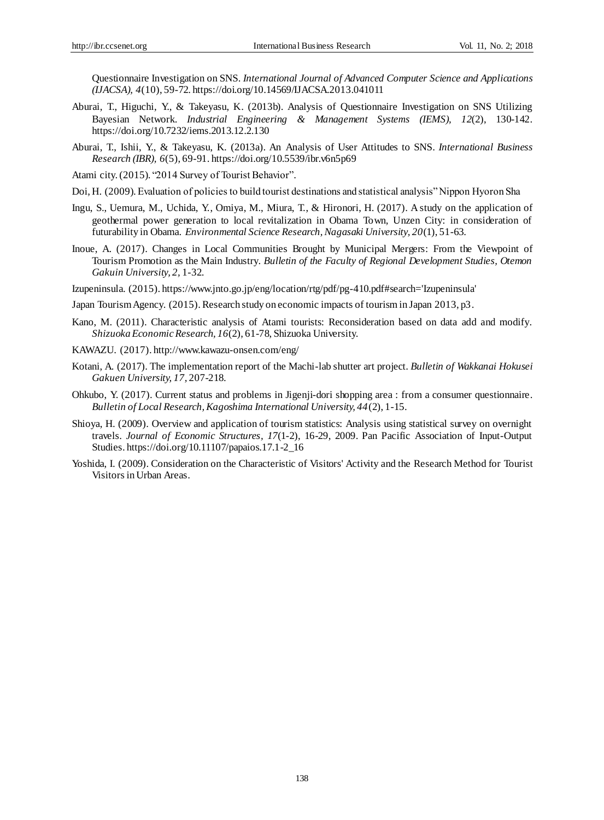Questionnaire Investigation on SNS. *International Journal of Advanced Computer Science and Applications (IJACSA), 4*(10), 59-72. https://doi.org/10.14569/IJACSA.2013.041011

- Aburai, T., Higuchi, Y., & Takeyasu, K. (2013b). Analysis of Questionnaire Investigation on SNS Utilizing Bayesian Network. *Industrial Engineering & Management Systems (IEMS), 12*(2), 130-142. https://doi.org/10.7232/iems.2013.12.2.130
- Aburai, T., Ishii, Y., & Takeyasu, K. (2013a). An Analysis of User Attitudes to SNS. *International Business Research (IBR), 6*(5), 69-91. https://doi.org/10.5539/ibr.v6n5p69
- Atami city.(2015). "2014 Survey of Tourist Behavior".
- Doi, H. (2009). Evaluation of policies to build tourist destinations and statistical analysis" Nippon Hyoron Sha
- Ingu, S., Uemura, M., Uchida, Y., Omiya, M., Miura, T., & Hironori, H. (2017). A study on the application of geothermal power generation to local revitalization in Obama Town, Unzen City: in consideration of futurability in Obama. *Environmental Science Research, Nagasaki University, 20*(1), 51-63.
- Inoue, A. (2017). Changes in Local Communities Brought by Municipal Mergers: From the Viewpoint of Tourism Promotion as the Main Industry. *Bulletin of the Faculty of Regional Development Studies, Otemon Gakuin University, 2,* 1-32.
- Izupeninsula. (2015). https://www.jnto.go.jp/eng/location/rtg/pdf/pg-410.pdf#search='Izupeninsula'
- Japan Tourism Agency. (2015). Research study on economic impacts of tourism in Japan 2013, p3.
- Kano, M. (2011). Characteristic analysis of Atami tourists: Reconsideration based on data add and modify. *Shizuoka Economic Research, 16*(2), 61-78, Shizuoka University.
- KAWAZU. (2017). http://www.kawazu-onsen.com/eng/
- Kotani, A. (2017). The implementation report of the Machi-lab shutter art project. *Bulletin of Wakkanai Hokusei Gakuen University, 17,* 207-218.
- Ohkubo, Y. (2017). Current status and problems in Jigenji-dori shopping area : from a consumer questionnaire. *Bulletin of Local Research, Kagoshima International University, 44*(2), 1-15.
- Shioya, H. (2009). Overview and application of tourism statistics: Analysis using statistical survey on overnight travels. *Journal of Economic Structures, 17*(1-2), 16-29, 2009. Pan Pacific Association of Input-Output Studies. https://doi.org/10.11107/papaios.17.1-2\_16
- Yoshida, I. (2009). Consideration on the Characteristic of Visitors' Activity and the Research Method for Tourist Visitors in Urban Areas.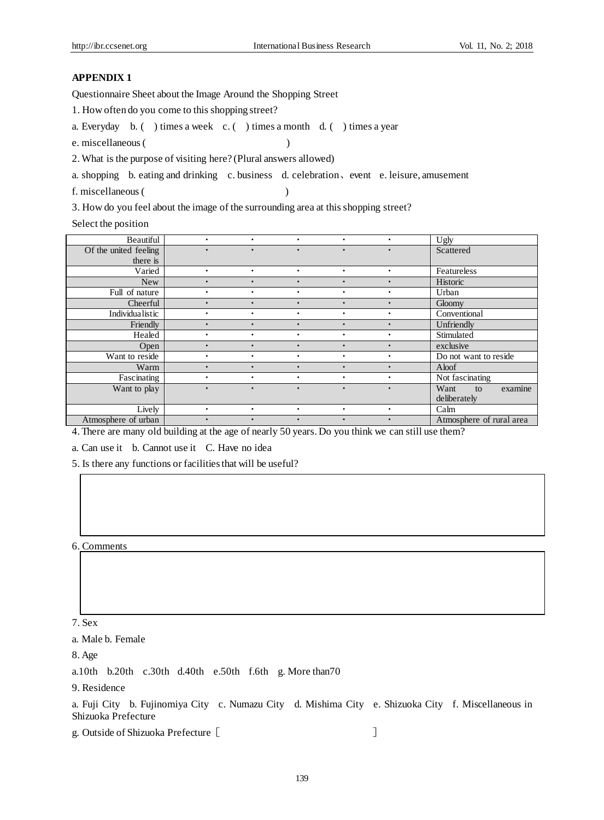#### **APPENDIX 1**

Questionnaire Sheet about the Image Around the Shopping Street

1. How often do you come to this shopping street?

a. Everyday b. ( ) times a week c. ( ) times a month d. ( ) times a year

e. miscellaneous ( )

2. What is the purpose of visiting here? (Plural answers allowed)

a. shopping b. eating and drinking c. business d. celebration、event e. leisure, amusement

f. miscellaneous ( )

3. How do you feel about the image of the surrounding area at this shopping street?

Select the position

| Beautiful              | $\bullet$ | ٠         | $\bullet$            |                                       | ٠         | Ugly                     |
|------------------------|-----------|-----------|----------------------|---------------------------------------|-----------|--------------------------|
| Of the united feeling  | $\bullet$ | $\bullet$ | $\bullet$            | $\bullet$                             |           | Scattered                |
| there is               |           |           |                      |                                       |           |                          |
| Varied                 | ٠         | ٠         | ٠                    | ٠                                     | ٠         | Featureless              |
| <b>New</b>             | $\bullet$ | $\bullet$ | $\bullet$            | $\bullet$                             | $\bullet$ | Historic                 |
| Full of nature         | ٠         | $\bullet$ | ٠                    | ٠                                     | ٠         | Urban                    |
| Cheerful               | $\bullet$ | $\bullet$ | $\bullet$            | $\bullet$                             | $\bullet$ | Gloomy                   |
| <b>Individualistic</b> | ٠         | ٠         | ٠                    | ٠                                     | ٠         | Conventional             |
| Friendly               | $\bullet$ | $\bullet$ | $\bullet$            | $\bullet$                             | $\bullet$ | Unfriendly               |
| Healed                 | ٠         | ٠         | $\bullet$            | ٠                                     | ٠         | Stimulated               |
| Open                   | $\bullet$ | $\bullet$ | $\bullet$            |                                       | $\bullet$ | exclusive                |
| Want to reside         | $\bullet$ | ٠         | ٠                    | ٠                                     | ٠         | Do not want to reside    |
| Warm                   | $\bullet$ | $\bullet$ | $\bullet$            | $\bullet$                             | $\bullet$ | Aloof                    |
| Fascinating            | ٠         | $\bullet$ | ٠                    | ٠                                     | ٠         | Not fascinating          |
| Want to play           | $\bullet$ | $\bullet$ | $\bullet$            | $\bullet$                             | $\bullet$ | examine<br>Want<br>to    |
|                        |           |           |                      |                                       |           | deliberately             |
| Lively                 | ٠         | $\bullet$ | $\bullet$            | $\bullet$                             | $\bullet$ | Calm                     |
| Atmosphere of urban    | $\bullet$ | $\bullet$ |                      |                                       |           | Atmosphere of rural area |
| <b>111</b><br>$\sim$   |           | $\sim$    | $\sim$ $\sim$ $\sim$ | $-1$ $-1$<br>$\overline{\phantom{a}}$ | .         | $\sim$ $\sim$            |

4. There are many old building at the age of nearly 50 years. Do you think we can still use them?

a. Can use it b. Cannot use it C. Have no idea

5. Is there any functions or facilities that will be useful?

6. Comments

7. Sex

a. Male b. Female

8. Age

a.10th b.20th c.30th d.40th e.50th f.6th g. More than70

9. Residence

a. Fuji City b. Fujinomiya City c. Numazu City d. Mishima City e. Shizuoka City f. Miscellaneous in Shizuoka Prefecture

g. Outside of Shizuoka Prefecture[ ]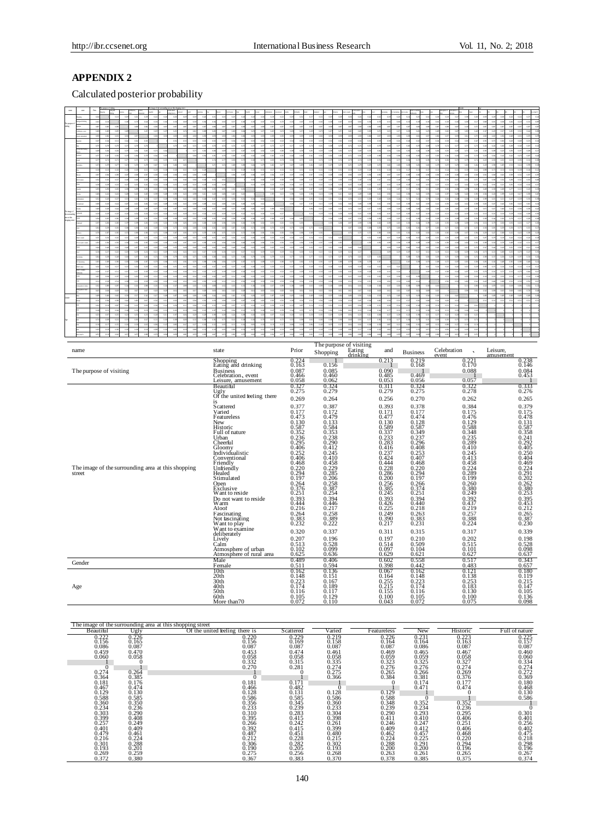# **APPENDIX 2**

Calculated posterior probability

|                               |       | he memore of visits                            | The impact of the surrounder area at the shormer stay |                         |                                      |                                 |                                                    |                                                                                                                                                   |                                   |
|-------------------------------|-------|------------------------------------------------|-------------------------------------------------------|-------------------------|--------------------------------------|---------------------------------|----------------------------------------------------|---------------------------------------------------------------------------------------------------------------------------------------------------|-----------------------------------|
| <b>SOF</b>                    | state | Prior                                          |                                                       |                         |                                      |                                 |                                                    |                                                                                                                                                   |                                   |
|                               |       |                                                |                                                       |                         |                                      |                                 |                                                    | 0.79                                                                                                                                              |                                   |
|                               |       | $-0.15$<br>0.170<br>0.15<br>0.1                | 0.14<br>4.0%<br>$-0.7$<br>0.15                        | 0.163                   | 0.168                                | 0.1%<br>0.154<br>0.07           | 0.19<br>0.10<br><b>AM</b><br>0.158<br><b>BM</b>    | 0.12<br>0.156<br>4.0%<br>0.352<br>1015<br>0.15<br>0.39<br>0.182<br>0.16<br>4.8<br>$-0.12$<br>0.18                                                 | 0.700<br>0.255                    |
| The purpose of                |       |                                                |                                                       |                         |                                      |                                 |                                                    |                                                                                                                                                   |                                   |
| <b>Size</b>                   |       |                                                |                                                       |                         |                                      | <b>DOCT</b>                     | ond<br>one                                         | 0.00<br>0.08<br>0.00<br>0.00<br>ond                                                                                                               | 0.007                             |
|                               |       | 149<br>0.49                                    | natt<br>$-0.073$                                      | 0.474                   | $-0.405$                             | oast<br>0.457<br>0.43           | 0.8<br>0.471                                       | 0.477<br>0.87<br>0.82<br>0.C<br>0.85<br>14<br>0.99<br>646<br>0.50<br>0.50<br>0.42<br>0.57                                                         | 0.52<br>6.44                      |
|                               |       | 0.067<br>ore<br>0.05                           | 0.0%                                                  |                         | 1.059                                | corp<br>con                     | om                                                 | 0.05<br>con<br>0.92<br>0.99<br>105<br>0.05                                                                                                        | con.                              |
|                               |       | 0.724<br>$-0.75$                               | 670<br>0.7                                            |                         |                                      | 0.333<br>0.773                  |                                                    | 0.729<br>0.725<br>0.726<br>0.77<br>$-0.73$<br>0.77<br>- 0.34<br>0.75                                                                              | 028<br>0.29                       |
|                               |       |                                                | 6.73                                                  |                         |                                      | 0.777                           |                                                    | 0.77<br>0.729<br>0.77                                                                                                                             |                                   |
|                               |       | 0.26<br>026<br>0.2%<br>0.72<br>0.32            | 0.255<br>0.25<br>$-0.72$                              | 0.77<br>0.25            | 0.269<br>4.777<br>0.37<br>0.26       | 0.767<br>0.785<br>0.37<br>0.39  | 0.26<br>0.26<br>0.7%<br>4.22<br>679<br>0.76        | 0.29<br>0.2%<br>0.254<br>0.258<br>0.767<br>0.20<br>0.72<br>$-0.79$<br>025<br>0.25<br>4.79<br>0.22<br>- 0.77<br>-0.22<br>0.75<br>0.78<br>0.775     | 0.797<br>0.209<br>0.70            |
|                               |       | $-0.387$<br>0.787<br>$-0.77$<br>0.778<br>0.784 | 0.72<br>0.78<br>-0.26                                 | 0.39<br>0.756           | $-0.782$<br>0.726<br>0.358<br>-0.787 | 0.362<br>0.367<br>0.78<br>0.789 | 0.39<br>0.769<br>0.36<br>0.797<br>0.32<br>$-0.785$ | 0.788<br>0.38<br>0.38<br>0.396<br>$-0.722$<br>0.382<br>0.73<br>0.79<br>0.788<br>0.25<br>627<br>0.359<br>0.30<br>$-0.785$<br>0.770<br>0.2%<br>0.38 | oat<br>047<br>0476                |
|                               |       | 0.02                                           | 4.00                                                  | 01                      |                                      | 0.153                           | 0.18<br>0.12                                       | 0.0%<br>0.17<br>0.15<br>0.175<br>$-0.05$                                                                                                          | 0.116                             |
|                               |       | 0.57<br>0.47                                   | 0.47                                                  | 0.00                    | 0.47<br>0.49                         | nau<br>0.457                    | 148<br>0.45<br>0.47                                | 0.48<br>0.49                                                                                                                                      |                                   |
|                               |       | 0.47<br>0.677<br>0.5                           | 047<br>$-0.40$<br>$-0.46$                             |                         | 0.471                                | 0.47                            | 0.45<br>0.49<br>883                                | 0.482<br>0.476<br>947<br>847<br>0.47<br>0475<br>0.40<br>0.45<br>149<br>$-0.470$<br>0.47<br>$-0.45$<br>$9 - 4$<br>0.780<br>0.48                    | 0.59<br>053<br>041                |
|                               |       |                                                | 4.179                                                 |                         |                                      |                                 |                                                    | 0.13                                                                                                                                              | 0.146                             |
|                               |       |                                                | 0.50                                                  |                         |                                      |                                 | 0.90                                               | 0.585<br>0.59<br>0.5<br>$^{16}$<br>0.59                                                                                                           | 0.507                             |
|                               |       | 0.757<br>0.77<br>0.38                          | 6.7%                                                  |                         | 0.257                                | 0.758<br>0.753                  | 0.79<br>0.757                                      | 0.757<br>0.753<br>0.79<br>own<br>0.30<br>ow<br>0.30<br>439<br>0.75<br>0.75<br>aT                                                                  | o vol                             |
|                               |       | 4.75<br>0.75<br>0.725                          | 0.347<br>0.777<br>- 0.79                              | 0.7%                    | 0.758                                | 0.255<br>0.755<br>0.72          | 0.79<br>0.758<br>0.75<br>0.75<br>0.34<br>0.79      | 0.257<br>0.30<br>0.77<br>0.757<br>$-0.237$<br>0.75<br>0.25<br>0.72<br>0.38<br>0.77<br>0.75<br>0.75<br>0.77<br>0.74<br>-0.779<br>0.197             | 0.700<br>0.325                    |
|                               |       | 0.28<br>0.287<br>0.295<br>0.28<br>0.28         | 0.292<br>$-0.30$<br>0.749<br>0.28                     | 0.26<br>0.304<br>0.28   | 0.26<br>$-0.305$<br>0.20<br>0.25     | 0.733<br>0.20                   | 0.336<br>0.205<br>0.337<br>0.285<br>0.26<br>0.33   | 0.33<br>0.28<br>0.70<br>0.287<br>0.32<br>0.288<br>$-0.717$<br>0.26<br>0.306<br>0.28<br>0.299<br>- 0.292<br>0.256<br>0.25<br>0.30                  | 0.220<br>0.27<br>0.252            |
|                               |       | 1407<br>0.42                                   | 4.72                                                  |                         | 0.430                                | 0.765<br>0.45                   | 0.41<br>0.78                                       | 0411<br>042<br>0.48<br>648<br>0.41<br>$-0.79$<br>0.433<br>0.70<br>0.75<br>0.76<br>12                                                              | 4.9%                              |
|                               |       | 927<br>025<br>0.28<br>0.257<br>0.38            | 0.26<br>0.250<br>- 0.25<br>0.78                       | 0.787<br>0.363<br>0.789 | 0.377<br>0.29<br>0.7%<br>0.253       | 0.268                           | 0.269<br>0.26<br>634<br>0.34<br>0.34               | 0.77<br>0.28<br>0.2%<br>0.75<br>0.246<br>0.20<br>0.364<br>4.7%<br>0.26<br>0.266<br>0.38<br>$-0.25$<br>- 0.748<br>0.700<br>0.28<br>0.753<br>0.25   | 0.775<br>0.25<br>0.292            |
|                               |       | 640<br>0.424<br>0.47<br>0.41                   | 670<br>0.85                                           | 0.455<br>0.4%<br>0.72   | $-0.412$<br>6.40                     | 0.765                           | 0.78<br>0.35<br>0.45<br>0 TO                       | 0.40<br>041<br>0.41<br>420<br>0.41<br>1.79<br>026<br>88<br>0.7<br>0.76<br>0.35                                                                    | 649                               |
|                               |       |                                                | 1407                                                  |                         |                                      |                                 |                                                    |                                                                                                                                                   |                                   |
| Deimpol                       |       |                                                |                                                       |                         |                                      |                                 |                                                    |                                                                                                                                                   |                                   |
| te seriento                   |       |                                                | 0.70                                                  |                         | 0.779                                | 0.757<br>0.797                  | 0.757                                              | 0.756<br>0.72<br>0.77<br>0.7<br>0.775<br>0.71<br>0.775<br>0.71<br>0.77                                                                            | 6.36                              |
| as a to<br><b>Angles</b> must |       | 0.768<br>4.785<br>0.799<br>079<br>0.769        | 0.793<br>$-0.75$<br>0.79<br>4.356                     | 0.787<br>4.30<br>0.70   | 0.700<br>078<br>0.70<br>0.769        | o mo<br>o mo<br>0.787<br>0.707  | 0.3%<br>478<br>0.208<br>0.78                       | 0.28<br>0.787<br>0.768<br>0.767<br>0.789<br>6.307<br>0.769<br>4.79<br>0.78<br>0.707<br>0.78<br>$-0.75$<br>0.72<br>4.78<br>-0.7%<br>0.744<br>0.75  | 0.209<br>072<br>0.757             |
|                               |       | 0.297<br>$-0.206$<br>0.200<br>0.70<br>0.28     | 0.202<br>0.257<br>0.28<br>0.250                       | 0.28<br>0.200<br>-9.29  | 0.200<br>0.295<br>0.20               | 0.290<br>0.20<br>0.295<br>0.211 | 0.290<br>0.305<br>0.200<br>0.29                    | 0.28<br>0.25<br>0.297<br>0.202<br>0.200<br>0.00<br>4.099<br>6252<br>0.200<br>0.200<br>9.29<br>0.157<br>0.179<br>0.29<br>0.29<br>0.15              | 6.277<br>0.182<br>0.25<br>$-0.20$ |
|                               |       | 0.758<br>-829<br>$-0.26$                       | 025<br>672                                            | 0.259<br>0.22           | 0.368                                | 0.758<br>0.758<br>0.7%          | 0.779<br>0.779<br>675                              | 027<br>0.759<br>$-0.79$<br>0.22<br>0.263<br>0.77<br>0.3<br>0.26<br>477<br>0.29<br>10.7<br>0.78                                                    | 0.255<br>0.17                     |
|                               |       | 472<br>$-0.387$<br>0.787<br>0.77<br>$-0.78$    | 0.787<br>$-0.772$<br>0.78<br>0.32                     | 0.787<br>0.735<br>0.776 | $-0.785$<br>0.738                    | 0.39<br>0.76<br>0.354<br>0.787  | 0.765<br>0.75                                      | 0.774<br>0.73<br>0.72<br>0.780<br>0.787<br>$-0.20$<br>0.787<br>432<br>0.787<br>0.305<br>0.787<br>$-0.75$<br>0.25<br>0.47<br>$-0.20$<br>0.75       | 0.788<br>0430                     |
|                               |       | 6.758<br>0.78<br>025<br>0.3                    | 025<br>4.7%                                           |                         | 0.253<br>0.75                        | 0.7%<br>0.755                   | 029<br>0.250                                       | 0.18<br>025<br>0.25<br>425<br>029<br>-825<br>076<br>0.7                                                                                           | 0.739                             |
|                               |       | 4.79                                           |                                                       |                         |                                      |                                 |                                                    | 0.75<br>0.79                                                                                                                                      |                                   |
|                               |       | 0.45                                           | oat<br>1,270                                          |                         | <b>CALL</b>                          | nass<br>nate                    | 0.87<br>0.PC<br>0.440                              | 0.48<br>644<br>0.85<br>0.50<br>0.455<br>445<br>0.40<br>144<br>0.40<br>$-0.45$<br>0.47<br>49                                                       | 6439<br>0TE                       |
|                               |       | 6.707<br>0.729<br>0.75<br>0.758<br>0.708       | 0.717<br>0.700<br>4.703<br>- 0.70                     | 0.223<br>0.75<br>0.707  | 0.757<br>0.708<br>478<br>0.707       | 0.757<br>0.753<br>0.78<br>0.78  | 0.757<br>6789<br>0.757<br>0.779<br>0.707<br>0.789  | 0.28<br>076<br>0.25<br>0.789<br>0.35<br>0.757<br>4.707<br>6717<br>0.759<br>0.77<br>$-0.75$<br>0.753<br>$-0.75$<br>0.125<br>0.78                   | 0.75<br>0.327<br>0.779            |
|                               |       | 028<br>0.758<br>0.257                          | $-0.776$<br>0.25<br>0.25                              |                         | 0.253                                | 0.779<br>0.779                  | 0.775<br>0.757                                     | 0.2%<br>0.29<br>0.75<br>0.259<br>4.787<br>0.738<br>0.25<br>6.75<br>- 0.77                                                                         | 0.2%                              |
|                               |       |                                                |                                                       |                         |                                      |                                 |                                                    | 0.23<br>0.37                                                                                                                                      | 0.257                             |
|                               |       | $-0.789$<br>0.78<br>0TE                        | 0.787<br>$-0.777$                                     | 0.70                    | 0.78                                 | 0.775<br>0.771                  | 0.72                                               | 0.30<br>0.30<br>0.783<br>0.788<br>4.73<br>$-0.77$<br>0.757<br>0.7<br>$-0.76$                                                                      | 0.492                             |
|                               |       | 0.222<br>0.217<br>0.25<br>0.23                 | 0.250<br>-0.34<br>- 0.70<br>$-0.251$                  | 0.755<br>0.34           | 0.227<br>0.757<br>0.72               | 0.389<br>0.250<br>0.77          | 0.20<br>0.749<br>4.25<br>0.71<br>0.71              | 0.28<br>0.225<br>423<br>0.239<br>0.245<br>0.226<br>$-0.22$<br>0.279<br>0.780<br>0.272<br>0.25<br>0.29                                             | 0.74<br>0.116<br>0.124            |
|                               |       | 0.377<br>$-0.75$                               | 0.714                                                 | 0.72                    | 4.57                                 | 0.711                           |                                                    | 0.55<br>17                                                                                                                                        |                                   |
|                               |       | 0.79<br>0.757                                  | 620<br>0.79<br>$-0.75$<br>0.7                         |                         | a we                                 |                                 | 0.70                                               | 070<br>0.32<br>0.77<br>0.15<br>0.78<br>0.79<br>0.22<br>0.7<br>0.75                                                                                |                                   |
|                               |       | $-0.57$<br>$-0.55$<br>0.53<br>0.52             | $-0.55$<br>452                                        | 0.57                    | 0.52                                 | own<br>own                      | 0.58<br>em<br>0.50<br>453<br>0.52                  | 0.57<br>0.97<br>0.5<br>0.530<br>A <sub>5</sub><br>0.53<br>4.900<br>0.57<br>14.49<br>$-0.9$<br>0.49                                                | 0.50                              |
|                               |       | 0.000<br>0.057<br>0.304<br>$-0.101$<br>0.100   | cop<br>0.107<br>0.10<br>4.977                         | C-300<br>0.100          | $-0.008$<br>0.370<br>0.353           | 0.306<br>0.10<br>om<br>0.05     | 0.336<br>0.105<br>0.00<br>0.12<br>0.008<br>0.09    | 0.10<br>0.10<br>0.00<br>0.330<br>$-0.15$<br>0.300<br>0.12<br>0.300<br>4.97<br>0.130<br>0.12<br>0.39<br>0.14<br>0.03                               | 0.13<br>0.054                     |
|                               |       | 0.53<br>0.63<br>0.07                           | 163                                                   | 0.5%<br>0.CV            | 0.63                                 | CALL                            | 0.01<br>0.622                                      | 0 <sup>o</sup><br>05<br>0.97<br>0.57<br>$^{\circ}$<br>$-0.58$                                                                                     | 0.728                             |
|                               |       | 0.49<br>ost<br>$-0.51$                         | 0.347<br>140                                          | 0.89                    |                                      | 0.80                            | 0.80                                               | 0.5<br>0.89<br>0.08<br>0.49<br>0.51<br>0.4%<br>459<br>0.49                                                                                        | 0.48                              |
| Gale                          |       | 0.78                                           |                                                       | 0.50                    |                                      |                                 |                                                    | 0.52<br>0.56                                                                                                                                      |                                   |
|                               |       | 45%                                            | $-0.505$                                              |                         |                                      | 0.506<br>0.507                  | 0.58                                               | 042<br>0.53                                                                                                                                       |                                   |
|                               |       |                                                | 0.739                                                 |                         |                                      |                                 |                                                    |                                                                                                                                                   |                                   |
|                               |       |                                                |                                                       |                         |                                      |                                 |                                                    |                                                                                                                                                   |                                   |
|                               |       | 0.10<br>829<br>0.257                           | 0.75<br>4.007                                         | 0.7%                    |                                      | 0.307<br>0.167                  | 0.77<br>0.789                                      | $-0.15$<br>0.700<br>6.197<br>478<br>0.757<br>0.77<br>0.73                                                                                         |                                   |
|                               |       | 0.189<br>0.725<br>0.174<br>0.197               | 0.147<br>0.15<br>4.000                                | 0.783<br>0.197          | $-0.182$<br>0.541                    | 0.162<br>0.12<br>0.157<br>0.177 | 0.157<br>100<br>0.167<br>4.140<br>0.16<br>0.293    | 0.179<br>0.193<br>0.19<br>0.183<br>0.17<br>0.185<br>-0.15<br>0.177<br>0.15<br>413<br>4.187<br>0.175<br>$-0.13$<br>$-0.12$                         |                                   |
|                               |       |                                                |                                                       |                         |                                      |                                 |                                                    |                                                                                                                                                   |                                   |
|                               |       |                                                | cost                                                  |                         |                                      |                                 |                                                    | 0.120<br>0.179<br>0.80<br>0.17<br>0.12<br>0.05<br>0.157                                                                                           |                                   |
|                               |       | 000<br>ox:<br>0.130<br>0.07<br>0.025           | costs.<br>om<br>0.26<br>0.059                         | om:<br>0.076<br>0.007   | 0.067<br>0.002<br>0.075<br>0.075     | cost<br>0.00<br>cost<br>o.st    | 0.005<br>cow<br>ozg<br>$-0.005$<br>0.09            | 0.356<br>0064<br><b>OZK</b><br>cool<br>0.00<br>0.09<br>0.00<br>opty<br>0.05<br>cost<br>0.085<br>cost<br>0.0%<br>652<br>$-0.072$                   |                                   |

|                                                              |                                                                                                |                                                                                       |                                                                                   | The purpose of visiting                                                           |                                                                                       |                                                                                                |                                                                              |
|--------------------------------------------------------------|------------------------------------------------------------------------------------------------|---------------------------------------------------------------------------------------|-----------------------------------------------------------------------------------|-----------------------------------------------------------------------------------|---------------------------------------------------------------------------------------|------------------------------------------------------------------------------------------------|------------------------------------------------------------------------------|
| name                                                         | state                                                                                          | Prior                                                                                 | Shopping                                                                          | Eating<br>drinking<br>and                                                         | <b>Business</b>                                                                       | Celebration<br>event                                                                           | Leisure.<br>amusement                                                        |
| The purpose of visiting                                      | Shopping<br>Eating and drinking<br><b>Business</b><br>Celebration, event<br>Leisure, amusement | 0.224<br>0.163<br>0.087<br>0.466<br>0.058                                             | 0.156<br>0.085<br>0.460<br>0.062                                                  | 0.213<br>0.090<br>0.485<br>0.053                                                  | $\begin{array}{c} 0.219 \\ 0.168 \end{array}$<br>0.469<br>0.056                       | 0.221<br>0.170<br>0.088<br>0.057                                                               | 0.238<br>0.146<br>$\begin{array}{c} 0.084 \\ 0.453 \end{array}$              |
|                                                              | Beautiful<br>Ugly<br>Of the united feeling there                                               | 0.327<br>0.275                                                                        | 0.324<br>0.279                                                                    | 0.311<br>0.279                                                                    | 0.324<br>0.275                                                                        | 0.322<br>0.278                                                                                 | 0.333<br>0.276                                                               |
|                                                              | 1S                                                                                             | 0.269                                                                                 | 0.264                                                                             | 0.256                                                                             | 0.270                                                                                 | 0.262                                                                                          | 0.265                                                                        |
|                                                              | Scattered<br>Varied<br>Featureless<br>New<br>Historic                                          | 0.377<br>0.177<br>0.473<br>0.130<br>$0.587$<br>$0.352$                                | 0.387<br>0.172<br>0.479<br>0.133<br>$\begin{array}{c} 0.584 \\ 0.353 \end{array}$ | 0.393<br>0.171<br>0.477<br>0.130<br>$\begin{array}{c} 0.589 \\ 0.337 \end{array}$ | 0.378<br>0.177<br>0.474<br>$\begin{array}{c} 0.128 \\ 0.587 \\ 0.349 \end{array}$     | 0.384<br>0.175<br>0.476<br>$\overline{0.129}$<br>0.588                                         | 0.379<br>0.175<br>0.478<br>0.131<br>$\overline{0.587}$<br>0.358              |
|                                                              | Full of nature<br>Urban<br>Cheerful<br>Gloomy<br>Individualistic                               | 0.236<br>0.295<br>0.406<br>0.252<br>0.406                                             | $\begin{array}{c} 0.238 \\ 0.290 \end{array}$<br>0.412<br>0.245                   | 0.233<br>0.283<br>0.416<br>0.237<br>0.424                                         | $0.237$<br>0.296<br>0.408<br>$0.253$<br>$0.407$                                       | 0.348<br>$\begin{array}{c} 0.235 \\ 0.289 \end{array}$<br>0.410<br>0.245<br>0.413              | 0.241<br>0.292<br>0.405<br>0.250<br>0.404                                    |
| The image of the surrounding area at this shopping<br>street | Conventional<br>Friendly<br>Unfriendly<br>Healed<br>Stimulated                                 | 0.468<br>$0.220$<br>$0.294$<br>0.197                                                  | 0.410<br>0.458<br>$0.229$<br>$0.285$<br>0.206                                     | 0.444<br>$0.228$<br>$0.286$<br>0.200                                              | 0.468<br>0.220<br>0.294<br>0.197                                                      | 0.458<br>$0.224$<br>$0.289$<br>0.199                                                           | 0.469<br>0.224<br>0.202                                                      |
|                                                              | Open<br>Exclusive<br>Want to reside<br>Do not want to reside<br>Warm                           | 0.264<br>0.251<br>$0.393$<br>$0.444$                                                  | 0.258<br>0.254<br>$\overline{0.394}$<br>$0.446$                                   | $0.256$<br>$0.385$<br>0.245<br>$0.393$<br>$0.426$                                 | 0.266<br>0.251<br>$0.394$<br>$0.440$                                                  | $0.260$<br>$0.380$<br>0.249<br>$0.392$<br>$0.437$                                              | 0.262<br>0.380<br>0.253<br>0.395<br>0.453                                    |
|                                                              | Aloof<br>Fascinating<br>Not fascinating                                                        | 0.216<br>$0.264$<br>$0.383$                                                           | 0.217<br>$\substack{0.258\\0.389\\0.222}$                                         | 0.225<br>$0.249$<br>$0.390$<br>0.217                                              | 0.218<br>$\substack{0.263 \\ 0.383 \\ 0.231}$                                         | 0.219<br>$0.257$<br>$0.388$<br>0.224                                                           | 0.212<br>0.265                                                               |
|                                                              | Want to play<br>Want to examine                                                                | 0.232<br>0.320                                                                        | 0.337                                                                             | 0.311                                                                             | 0.315                                                                                 | 0.317                                                                                          | 0.230                                                                        |
|                                                              | deliberately<br>Lively                                                                         | 0.207                                                                                 | 0.196                                                                             | 0.197                                                                             | 0.210                                                                                 | 0.202                                                                                          | 0.339<br>0.198                                                               |
|                                                              | Calm<br>Atmosphere of urban<br>Atmosphere of rural area                                        | 0.513<br>$\begin{array}{c} 0.102 \\ 0.625 \end{array}$                                | 0.528<br>$\begin{array}{c} 0.099 \\ 0.636 \end{array}$                            | 0.514<br>$0.097$<br>$0.629$                                                       | 0.509<br>$\overline{0.104}$<br>$0.621$                                                | $\substack{0.515\\0.101\\0.627}$                                                               | 0.528<br>$\begin{smallmatrix} 0.098 \\[-4pt] 0.637 \end{smallmatrix}$        |
| Gender                                                       | Male<br>Female                                                                                 | 0.489<br>0.511                                                                        | 0.406<br>0.594                                                                    | 0.602<br>0.398                                                                    | 0.558<br>0.442                                                                        | 0.517<br>0.483                                                                                 | 0.343<br>0.657                                                               |
| Age                                                          | 10 <sub>th</sub><br>$\frac{20th}{30th}$<br>40th<br>50th<br>60th                                | 0.162<br>0.148<br>$\overline{0.223}$<br>$\overline{0.174}$<br>0.116<br>0.105<br>0.072 | 0.136<br>0.151<br>$\overline{0.167}$<br>0.189<br>0.117<br>$0.129$<br>$0.110$      | 0.067<br>0.164<br>$0.255$<br>$0.215$<br>0.155<br>$0.100$<br>$0.043$               | 0.162<br>0.148<br>$\overline{0.223}$<br>$\overline{0.174}$<br>0.116<br>0.105<br>0.072 | 0.121<br>0.138<br>$\begin{array}{c} 0.253 \\ 0.183 \end{array}$<br>0.130<br>$0.100$<br>$0.075$ | 0.180<br>0.119<br>$\overline{0.215}$<br>0.147<br>0.105<br>$0.136$<br>$0.098$ |
|                                                              | More than70                                                                                    |                                                                                       |                                                                                   |                                                                                   |                                                                                       |                                                                                                |                                                                              |

|                                                        |                    | The image of the surrounding area at this shopping street |                                                        |                                                        |                                               |                                                                          |                             |                                                        |
|--------------------------------------------------------|--------------------|-----------------------------------------------------------|--------------------------------------------------------|--------------------------------------------------------|-----------------------------------------------|--------------------------------------------------------------------------|-----------------------------|--------------------------------------------------------|
| Beautiful                                              | Ugly               | Of the united feeling there is                            | Scattered                                              | Varied                                                 | Featureless                                   | <b>New</b>                                                               | Historic                    | Full of nature                                         |
| 0.222                                                  | 0.226              | 0.220                                                     | 0.229                                                  | 0.219                                                  | 0.226                                         | 0.231                                                                    | 0.223                       | 0.225                                                  |
| 0.156                                                  | 0.165              | 0.156                                                     | $0.169$<br>$0.087$                                     | 0.158                                                  | 0.164                                         | $\begin{array}{c} 0.164 \\ 0.086 \\ 0.465 \\ 0.059 \\ 0.325 \end{array}$ | 0.163                       | 0.157                                                  |
| 0.086                                                  | 0.087              | 0.087                                                     |                                                        | 0.087                                                  | 0.087                                         |                                                                          | 0.087                       | 0.087                                                  |
| 0.459                                                  | 0.470              | 0.453                                                     | 0.474                                                  | $\begin{array}{c} 0.461 \\ 0.058 \\ 0.335 \end{array}$ | 0.469                                         |                                                                          | 0.467                       | 0.460                                                  |
| 0.060                                                  | 0.058              | 0.058                                                     | 0.058                                                  |                                                        | 0.059                                         |                                                                          | 0.058                       | 0.060                                                  |
|                                                        |                    | 0.332                                                     | 0.315                                                  |                                                        | 0.323                                         |                                                                          | 0.327                       | 0.334                                                  |
|                                                        |                    | 0.270                                                     | 0.281                                                  | $\begin{array}{c} 0.274 \\ 0.275 \\ 0.366 \end{array}$ | 0.276                                         | $\begin{array}{c} 0.276 \\ 0.266 \\ 0.381 \end{array}$                   | 0.274                       | 0.274<br>0.272                                         |
| 0.274<br>0.364                                         | 0.264              |                                                           |                                                        |                                                        | 0.265<br>0.384                                |                                                                          | 0.269                       |                                                        |
|                                                        | 0.385              |                                                           |                                                        |                                                        |                                               |                                                                          | 0.376                       | 0.369                                                  |
| $\begin{array}{c} 0.181 \\ 0.467 \\ 0.129 \end{array}$ | 0.176<br>0.474     | 0.181<br>0.466                                            | $\begin{array}{c} 0.171 \\ 0.482 \\ 0.131 \end{array}$ |                                                        |                                               | $\overline{0.174}$<br>$0.471$                                            | 0.177<br>0.474              | $\begin{array}{c} 0.180 \\ 0.468 \\ 0.130 \end{array}$ |
|                                                        | 0.130              | 0.128                                                     |                                                        | 0.128                                                  | 0.129                                         |                                                                          |                             |                                                        |
|                                                        |                    |                                                           |                                                        |                                                        |                                               |                                                                          |                             | 0.586                                                  |
| $\begin{array}{c} 0.588 \\ 0.360 \end{array}$          | 0.585<br>0.350     | 0.586<br>0.356                                            |                                                        |                                                        | 0.588<br>0.348                                |                                                                          | 0.352                       |                                                        |
| 0.234                                                  | 0.236              | 0.233                                                     | $\begin{array}{c} 0.585 \\ 0.345 \\ 0.239 \end{array}$ | $\begin{array}{c} 0.586 \\ 0.360 \\ 0.233 \end{array}$ | 0.239                                         | $\begin{array}{c} 0.352 \\ 0.234 \end{array}$                            | 0.236                       |                                                        |
| 0.303                                                  | 0.290              | 0.310                                                     |                                                        |                                                        | 0.290                                         |                                                                          | 0.295                       | 0.301                                                  |
|                                                        | 0.408              | 0.395                                                     |                                                        |                                                        | 0.411                                         |                                                                          | 0.406                       | 0.401                                                  |
| $\begin{array}{c} 0.399 \\ 0.257 \end{array}$          | 0.249              | 0.266                                                     | $\begin{array}{c} 0.283 \\ 0.415 \\ 0.242 \end{array}$ | $\begin{array}{c} 0.304 \\ 0.398 \\ 0.261 \end{array}$ | 0.246                                         | $\begin{array}{c} 0.293 \\ 0.410 \\ 0.247 \end{array}$                   | 0.251                       | 0.256                                                  |
|                                                        | 0.409              |                                                           |                                                        |                                                        | 0.409                                         |                                                                          |                             |                                                        |
| 0.401<br>0.479                                         | 0.461              | 0.392                                                     |                                                        |                                                        | 0.462                                         |                                                                          | 0.406<br>0.468              | $0.402$<br>$0.475$                                     |
| 0.216                                                  | 0.224              | 0.212                                                     | $\substack{0.415\\0.451\\0.228}$                       | $\substack{0.399\\0.480\\0.215}$                       | 0.224                                         | $\substack{0.412\\0.457\\0.225}$                                         | 0.220                       | 0.218                                                  |
|                                                        | $0.288$<br>$0.201$ | 0.306<br>0.190                                            | $0.282$<br>$0.205$                                     |                                                        |                                               |                                                                          | $\substack{0.294 \\ 0.196}$ |                                                        |
| 0.301<br>0.193                                         |                    |                                                           |                                                        | $\begin{array}{c} 0.302 \\ 0.193 \\ 0.268 \end{array}$ | $\begin{array}{c} 0.288 \\ 0.200 \end{array}$ | $\begin{array}{c} 0.291 \\ 0.200 \\ 0.261 \end{array}$                   |                             | $0.298$<br>$0.196$                                     |
| 0.269                                                  | 0.259              | 0.275                                                     | 0.256                                                  |                                                        | 0.263                                         |                                                                          | 0.265                       | 0.267                                                  |
| 0.372                                                  | 0.380              | 0.367                                                     | 0.383                                                  | 0.370                                                  | 0.378                                         | 0.385                                                                    | 0.375                       | 0.374                                                  |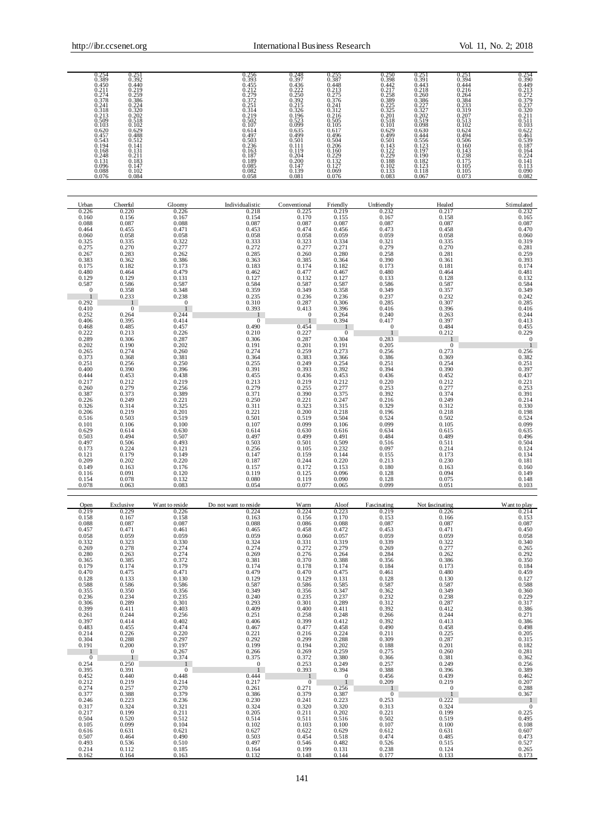| 0.254<br>0.389                                                                         | 0.251<br>0.392                                         |                                               | 0.256<br>0.393                                                  | 0.248<br>0.397                                         | $\begin{array}{c} 0.255 \\ 0.387 \end{array}$          | 0.250<br>0.398                                         | 0.251<br>0.391<br>0.251<br>0.394                                                                                 | 0.254<br>0.390                                              |
|----------------------------------------------------------------------------------------|--------------------------------------------------------|-----------------------------------------------|-----------------------------------------------------------------|--------------------------------------------------------|--------------------------------------------------------|--------------------------------------------------------|------------------------------------------------------------------------------------------------------------------|-------------------------------------------------------------|
|                                                                                        |                                                        |                                               |                                                                 |                                                        |                                                        |                                                        |                                                                                                                  |                                                             |
| $\begin{array}{c} 0.450 \\ 0.211 \\ 0.274 \end{array}$                                 | $0.440$<br>$0.219$<br>$0.259$                          |                                               | $\begin{array}{c} 0.455 \\ 0.212 \\ 0.279 \end{array}$          | $0.436$<br>$0.222$<br>$0.250$                          | $0.448$<br>$0.213$<br>$0.275$                          | $0.442$<br>$0.217$<br>$0.258$                          | $0.443$<br>$0.218$<br>$0.260$<br>$0.444$<br>$0.216$<br>$0.264$                                                   | $0.449$<br>$0.213$<br>$0.272$                               |
| 0.274<br>0.378<br>0.241<br>0.318<br>0.213<br>0.509<br>0.103<br>0.620<br>0.457<br>0.543 | $\begin{array}{c} 0.386 \\ 0.224 \\ 0.320 \end{array}$ |                                               | $\begin{array}{c} 0.372 \\ 0.251 \\ 0.314 \end{array}$          |                                                        |                                                        | $\begin{array}{c} 0.389 \\ 0.225 \\ 0.325 \end{array}$ | $\begin{array}{c} 0.386 \\ 0.227 \\ 0.327 \end{array}$<br>$\begin{array}{c} 0.384 \\ 0.233 \\ 0.319 \end{array}$ | $\begin{array}{c} 0.379 \\ 0.237 \\ 0.320 \end{array}$      |
|                                                                                        |                                                        |                                               |                                                                 | $\overline{0.392}$<br>$\overline{0.215}$               | $0.376$<br>$0.241$                                     |                                                        |                                                                                                                  |                                                             |
|                                                                                        |                                                        |                                               |                                                                 | 0.326                                                  | 0.312                                                  |                                                        |                                                                                                                  |                                                             |
|                                                                                        | $\begin{array}{c} 0.202 \\ 0.518 \\ 0.102 \end{array}$ |                                               | $\begin{array}{c} 0.219 \\ 0.502 \\ 0.107 \end{array}$          | $\begin{array}{c} 0.196 \\ 0.523 \\ 0.099 \end{array}$ | $\begin{array}{c} 0.216 \\ 0.505 \\ 0.105 \end{array}$ | $\begin{array}{c} 0.201 \\ 0.518 \\ 0.101 \end{array}$ | $\begin{array}{c} 0.202 \\ 0.519 \\ 0.098 \end{array}$<br>$\begin{array}{c} 0.207 \\ 0.513 \\ 0.102 \end{array}$ | $\overline{0.211}$<br>$\overline{0.511}$                    |
|                                                                                        |                                                        |                                               |                                                                 |                                                        |                                                        |                                                        |                                                                                                                  | 0.103                                                       |
|                                                                                        |                                                        |                                               |                                                                 | 0.635                                                  |                                                        |                                                        |                                                                                                                  |                                                             |
|                                                                                        | $0.629$<br>0.488<br>0.512                              |                                               | $0.614$<br>$0.497$<br>$0.503$                                   | 0.499                                                  | $\begin{array}{c} 0.617 \\ 0.496 \\ 0.504 \end{array}$ | $0.629$<br>$0.499$<br>$0.501$                          | $\begin{array}{c} 0.630 \\ 0.444 \\ 0.556 \end{array}$<br>$0.624$<br>$0.494$<br>$0.506$                          | $0.622$<br>$0.461$                                          |
|                                                                                        |                                                        |                                               |                                                                 | 0.501                                                  |                                                        |                                                        |                                                                                                                  | 0.539                                                       |
| $\begin{array}{c} 0.194 \\ 0.168 \\ 0.248 \end{array}$                                 | $\begin{array}{c} 0.141 \\ 0.131 \\ 0.211 \end{array}$ |                                               | $\begin{array}{c} 0.236 \\ 0.163 \\ 0.187 \end{array}$          | 0.111                                                  | $\begin{array}{c} 0.206 \\ 0.160 \\ 0.229 \end{array}$ | $\begin{array}{c} 0.143 \\ 0.122 \\ 0.229 \end{array}$ | $\begin{array}{c} 0.123 \\ 0.197 \\ 0.190 \end{array}$<br>$\begin{array}{c} 0.160 \\ 0.143 \\ 0.238 \end{array}$ | 0.187                                                       |
|                                                                                        |                                                        |                                               |                                                                 | 0.119<br>0.204                                         |                                                        |                                                        |                                                                                                                  | 0.164<br>0.224                                              |
|                                                                                        |                                                        |                                               |                                                                 |                                                        |                                                        |                                                        |                                                                                                                  | 0.141                                                       |
| $\begin{array}{c} 0.131 \\ 0.096 \\ 0.088 \end{array}$                                 | $\overline{0.183}$<br>$\overline{0.147}$               |                                               |                                                                 | $\overline{0.200}$<br>$\overline{0.147}$               | $\overline{0.132}$<br>$\overline{0.127}$               | $\begin{array}{c} 0.188 \\ 0.102 \\ 0.133 \end{array}$ | $\begin{array}{c} 0.182 \\ 0.123 \end{array}$<br>$\frac{0.175}{0.105}$                                           | 0.113                                                       |
|                                                                                        | 0.102                                                  |                                               | $\begin{array}{c} 0.189 \\ 0.085 \\ 0.082 \\ 0.058 \end{array}$ | 0.139                                                  | 0.069                                                  |                                                        | 0.118<br>0.105                                                                                                   | 0.090                                                       |
| 0.076                                                                                  | 0.084                                                  |                                               |                                                                 | 0.081                                                  | 0.076                                                  | 0.083                                                  | 0.067<br>0.073                                                                                                   | 0.082                                                       |
|                                                                                        |                                                        |                                               |                                                                 |                                                        |                                                        |                                                        |                                                                                                                  |                                                             |
|                                                                                        |                                                        |                                               |                                                                 |                                                        |                                                        |                                                        |                                                                                                                  |                                                             |
|                                                                                        |                                                        |                                               |                                                                 |                                                        |                                                        |                                                        |                                                                                                                  |                                                             |
| Urban                                                                                  | Cheerful                                               | Gloomy                                        | Individualistic                                                 | Conventional                                           | Friendly                                               | Unfriendly                                             | Healed                                                                                                           | Stimulated                                                  |
| 0.226                                                                                  | 0.220                                                  |                                               | 0.218                                                           |                                                        | 0.219                                                  | 0.232                                                  | 0.217                                                                                                            | 0.232                                                       |
| 0.160                                                                                  | 0.156                                                  | $\frac{0.226}{0.167}$                         | 0.154                                                           | $\begin{array}{c} 0.225 \\ 0.170 \end{array}$          | 0.155                                                  | 0.167                                                  | 0.158                                                                                                            | 0.165                                                       |
| 0.088                                                                                  | 0.087                                                  | 0.088                                         | 0.087                                                           | 0.087                                                  | 0.087                                                  | 0.087                                                  | 0.087                                                                                                            | 0.087                                                       |
| 0.464                                                                                  | 0.455                                                  | 0.471                                         | 0.453                                                           | 0.474                                                  | 0.456                                                  | 0.473                                                  | 0.458                                                                                                            | 0.470                                                       |
| 0.060                                                                                  | 0.058                                                  | 0.058                                         | 0.058                                                           | 0.058                                                  | 0.059                                                  | 0.059                                                  | 0.058                                                                                                            | 0.060                                                       |
| 0.325                                                                                  | 0.335                                                  | 0.322                                         |                                                                 | 0.323                                                  | 0.334                                                  | 0.321                                                  | 0.335                                                                                                            | 0.319                                                       |
| 0.275                                                                                  | 0.270                                                  | 0.277                                         | $0.333$<br>$0.272$                                              | 0.277                                                  | 0.271                                                  | 0.279                                                  | 0.270                                                                                                            | 0.281                                                       |
| 0.267                                                                                  | 0.283                                                  | 0.262                                         | 0.285                                                           | 0.260                                                  | 0.280                                                  | 0.258                                                  | 0.281                                                                                                            | 0.259                                                       |
| 0.383                                                                                  | 0.362                                                  | 0.386                                         | 0.363                                                           | 0.385                                                  | 0.364                                                  | 0.390                                                  | 0.361                                                                                                            | 0.393                                                       |
| 0.175                                                                                  | 0.182                                                  | 0.173                                         | 0.183                                                           | 0.174                                                  | 0.182                                                  | 0.173                                                  | 0.181                                                                                                            | 0.174                                                       |
| 0.480                                                                                  | 0.464                                                  | 0.479                                         | 0.462                                                           | 0.477                                                  | 0.467                                                  | 0.480                                                  | 0.464                                                                                                            | 0.481                                                       |
| 0.129                                                                                  | 0.129                                                  | 0.131                                         | 0.127                                                           | 0.132                                                  | 0.127                                                  | 0.133                                                  | 0.128                                                                                                            | 0.132                                                       |
| 0.587                                                                                  | 0.586                                                  | 0.587                                         | 0.584                                                           | 0.587                                                  | 0.587                                                  | 0.586                                                  | 0.587                                                                                                            | 0.584                                                       |
| $\mathbf{0}$                                                                           | 0.358                                                  | 0.348                                         | 0.359                                                           | 0.349                                                  | 0.358                                                  | 0.349                                                  |                                                                                                                  | 0.349                                                       |
|                                                                                        | 0.233                                                  | 0.238                                         | 0.235                                                           | 0.236                                                  | 0.236                                                  | 0.237                                                  | $0.357$<br>$0.232$                                                                                               | 0.242                                                       |
| 0.292                                                                                  | $\mathbf{1}$                                           | $\overline{0}$                                | 0.310                                                           | 0.287                                                  | 0.306                                                  | 0.285                                                  | 0.307                                                                                                            | 0.285                                                       |
| 0.410                                                                                  | $\overline{0}$                                         |                                               | 0.393                                                           | 0.413                                                  | 0.396                                                  | 0.416                                                  | 0.396                                                                                                            | 0.416                                                       |
| 0.252                                                                                  | 0.264                                                  | 0.244                                         | $\mathbf{1}$                                                    | $\boldsymbol{0}$                                       | 0.264                                                  | 0.240                                                  | 0.263                                                                                                            | 0.244                                                       |
| 0.406                                                                                  | 0.395                                                  | 0.414                                         | $\overline{0}$                                                  |                                                        | 0.394                                                  | 0.417                                                  | 0.397                                                                                                            | 0.413                                                       |
| 0.468                                                                                  | 0.485                                                  | 0.457                                         | 0.490                                                           | 0.454                                                  | $\mathbf{1}$                                           | $\boldsymbol{0}$                                       | 0.484                                                                                                            | 0.455                                                       |
| 0.222                                                                                  | 0.213                                                  | 0.226                                         | 0.210                                                           | 0.227                                                  | $\overline{0}$                                         |                                                        | 0.212                                                                                                            | 0.229                                                       |
| 0.289                                                                                  | 0.306                                                  | 0.287                                         | 0.306                                                           | 0.287                                                  | 0.304                                                  | 0.283                                                  |                                                                                                                  | $\boldsymbol{0}$                                            |
| 0.202                                                                                  | 0.190                                                  | 0.202                                         | 0.191                                                           | 0.201                                                  | 0.191                                                  | 0.205                                                  | $\overline{0}$                                                                                                   |                                                             |
| 0.265                                                                                  | 0.274                                                  | 0.260                                         | 0.274                                                           | 0.259                                                  | 0.273                                                  | 0.256                                                  | 0.273                                                                                                            | $\mathbf{1}$                                                |
|                                                                                        | 0.368                                                  |                                               |                                                                 |                                                        |                                                        |                                                        |                                                                                                                  | 0.256                                                       |
| 0.373<br>0.251                                                                         | 0.256                                                  | 0.381<br>0.250                                | 0.364<br>0.255                                                  | 0.383<br>0.249                                         | 0.366<br>0.254                                         | 0.386<br>0.251                                         | 0.369                                                                                                            | 0.382<br>0.251                                              |
| 0.400                                                                                  | 0.390                                                  | 0.396                                         | 0.391                                                           | 0.393                                                  | 0.392                                                  | 0.394                                                  | $0.254$<br>$0.390$                                                                                               | 0.397                                                       |
| 0.444                                                                                  | 0.453                                                  | 0.438                                         | 0.455                                                           | 0.436                                                  | 0.453                                                  | 0.436                                                  | 0.452                                                                                                            | 0.437                                                       |
|                                                                                        |                                                        |                                               |                                                                 | 0.219                                                  |                                                        |                                                        |                                                                                                                  |                                                             |
| 0.217                                                                                  | 0.212<br>0.279                                         | 0.219                                         | 0.213<br>0.279                                                  |                                                        | 0.212                                                  | 0.220                                                  | 0.212                                                                                                            | 0.221                                                       |
| 0.260                                                                                  |                                                        | 0.256                                         |                                                                 | 0.255                                                  | 0.277                                                  | 0.253                                                  | 0.277                                                                                                            | 0.253                                                       |
| 0.387                                                                                  | 0.373                                                  | 0.389                                         | 0.371                                                           | 0.390                                                  | 0.375                                                  | 0.392                                                  | 0.374                                                                                                            | 0.391                                                       |
| 0.226                                                                                  | 0.249                                                  | 0.221                                         | 0.250                                                           | 0.221                                                  | 0.247                                                  | 0.216                                                  | 0.249                                                                                                            | 0.214                                                       |
| 0.326                                                                                  | 0.314                                                  | 0.325                                         | 0.311                                                           | 0.323                                                  | 0.315                                                  | 0.329                                                  | 0.312                                                                                                            | 0.330                                                       |
| 0.206                                                                                  | 0.219                                                  | 0.201                                         | 0.221                                                           | 0.200                                                  | 0.218                                                  | 0.196                                                  | 0.218                                                                                                            | 0.198                                                       |
| 0.516                                                                                  | 0.503                                                  | 0.519                                         | 0.501                                                           | 0.519                                                  | 0.504                                                  | 0.524                                                  | 0.502                                                                                                            | 0.524                                                       |
| 0.101                                                                                  | 0.106                                                  | 0.100                                         | 0.107                                                           | 0.099                                                  | 0.106                                                  | 0.099                                                  | 0.105                                                                                                            | 0.099                                                       |
| 0.629                                                                                  | 0.614                                                  | 0.630                                         | 0.614                                                           | 0.630                                                  | 0.616                                                  | 0.634                                                  | 0.615                                                                                                            | 0.635                                                       |
| 0.503                                                                                  | 0.494                                                  | 0.507                                         | 0.497                                                           | 0.499                                                  | 0.491                                                  | 0.484                                                  | 0.489                                                                                                            | 0.496                                                       |
| 0.497                                                                                  | 0.506                                                  | 0.493                                         | 0.503                                                           | 0.501                                                  | 0.509                                                  | 0.516                                                  | 0.511                                                                                                            | 0.504                                                       |
| 0.173                                                                                  | 0.224                                                  | 0.121                                         | 0.256                                                           | 0.105                                                  | 0.232                                                  | 0.097                                                  | 0.214                                                                                                            | 0.124                                                       |
| 0.121                                                                                  | 0.179                                                  | 0.149                                         | 0.147                                                           | 0.159                                                  | 0.144                                                  | 0.155                                                  | 0.173                                                                                                            | 0.134                                                       |
| 0.209                                                                                  | 0.202                                                  | 0.220                                         | 0.187                                                           | 0.244                                                  | 0.220                                                  | 0.213                                                  | 0.230                                                                                                            | 0.181                                                       |
| 0.149                                                                                  | 0.163                                                  | 0.176                                         | 0.157                                                           | 0.172                                                  | 0.153                                                  | 0.180                                                  | 0.163                                                                                                            | 0.160                                                       |
| 0.116                                                                                  | 0.091                                                  | 0.120                                         | 0.119                                                           | 0.125                                                  | 0.096                                                  | 0.128                                                  | 0.094                                                                                                            | 0.149                                                       |
| 0.154                                                                                  | 0.078                                                  | 0.132                                         | 0.080                                                           | 0.119                                                  | 0.090                                                  | 0.128                                                  | 0.075                                                                                                            | 0.148                                                       |
| 0.078                                                                                  | 0.063                                                  | 0.083                                         | 0.054                                                           | 0.077                                                  | 0.065                                                  | 0.099                                                  | 0.051                                                                                                            | 0.103                                                       |
|                                                                                        |                                                        |                                               |                                                                 |                                                        |                                                        |                                                        |                                                                                                                  |                                                             |
|                                                                                        |                                                        |                                               |                                                                 |                                                        |                                                        |                                                        |                                                                                                                  |                                                             |
| Open                                                                                   | Exclusive                                              | Want to reside                                | Do not want to reside                                           | Warm                                                   | Aloof                                                  | Fascinating                                            | Not fascinating                                                                                                  | Want to play                                                |
| 0.219                                                                                  | 0.229                                                  | 0.226                                         | 0.224                                                           | 0.224                                                  | 0.223                                                  | 0.219                                                  | 0.226                                                                                                            | 0.214                                                       |
| 0.158                                                                                  | 0.167                                                  | 0.158                                         | 0.163                                                           | 0.156                                                  | 0.170                                                  | 0.153                                                  | 0.166                                                                                                            | 0.153                                                       |
| 0.088                                                                                  | 0.087                                                  | 0.087                                         | 0.088                                                           | 0.086                                                  | 0.088                                                  | 0.087                                                  | 0.087                                                                                                            | 0.087                                                       |
| 0.457                                                                                  | 0.471                                                  | 0.461                                         | 0.465                                                           | 0.458                                                  | 0.472                                                  | 0.453                                                  | 0.471                                                                                                            | 0.450                                                       |
| 0.058                                                                                  | 0.059                                                  | 0.059                                         | 0.059                                                           | 0.060                                                  | 0.057                                                  | 0.059                                                  | 0.059                                                                                                            | 0.058                                                       |
| 0.332                                                                                  | 0.323                                                  | $\frac{0.330}{0.274}$                         | $0.324$<br>$0.274$                                              | 0.331                                                  | 0.319                                                  | 0.339                                                  | $0.322$<br>$0.277$                                                                                               | 0.340                                                       |
| 0.269                                                                                  | 0.278                                                  |                                               |                                                                 | 0.272                                                  | 0.279                                                  | 0.269                                                  |                                                                                                                  | 0.265                                                       |
| 0.280                                                                                  | 0.263                                                  | 0.274                                         | 0.269                                                           | 0.276                                                  | 0.264                                                  | 0.284                                                  | 0.262<br>0.386                                                                                                   | 0.292                                                       |
| 0.365                                                                                  | 0.385                                                  | 0.372                                         | 0.381                                                           | 0.370                                                  | 0.388                                                  | 0.356                                                  |                                                                                                                  | 0.350                                                       |
| 0.179                                                                                  | 0.174                                                  | 0.179<br>0.471                                | 0.174<br>0.479                                                  | 0.178                                                  | 0.174                                                  | 0.184                                                  | 0.173<br>0.480                                                                                                   | 0.184<br>0.459                                              |
| 0.470                                                                                  | 0.475                                                  |                                               |                                                                 | 0.470                                                  | 0.475                                                  | 0.461                                                  |                                                                                                                  |                                                             |
| 0.128                                                                                  | 0.133                                                  | 0.130                                         | 0.129                                                           | 0.129                                                  | 0.131                                                  | 0.128                                                  | 0.130                                                                                                            | 0.127                                                       |
| 0.588                                                                                  | 0.586                                                  | 0.586<br>0.356                                | 0.587<br>0.349                                                  | 0.586                                                  | 0.585                                                  | 0.587                                                  | $0.587$<br>$0.349$                                                                                               | 0.588                                                       |
| 0.355                                                                                  | 0.350                                                  |                                               |                                                                 | 0.356                                                  | 0.347                                                  | 0.362                                                  |                                                                                                                  | 0.360                                                       |
| 0.236                                                                                  | 0.234                                                  | $\begin{array}{c} 0.235 \\ 0.301 \end{array}$ | 0.240<br>0.293                                                  | 0.235<br>0.301                                         | $\begin{array}{c} 0.237 \\ 0.289 \end{array}$          | 0.232                                                  | $0.238$<br>$0.287$<br>$0.412$<br>$0.244$                                                                         | $0.300$<br>0.229<br>0.317<br>0.386<br>0.271<br>0.386        |
| 0.306<br>0.399                                                                         | 0.289<br>0.411                                         |                                               | 0.409                                                           | 0.400                                                  | 0.411                                                  | 0.312                                                  |                                                                                                                  |                                                             |
| 0.261                                                                                  | 0.244                                                  | 0.301<br>0.403<br>0.256<br>0.402              | 0.251                                                           | 0.258                                                  |                                                        | 0.392<br>0.266                                         |                                                                                                                  |                                                             |
| 0.397                                                                                  | 0.414                                                  |                                               | 0.406                                                           | 0.399                                                  | $0.248$<br>$0.412$                                     | 0.392                                                  | 0.413                                                                                                            |                                                             |
| 0.483                                                                                  | 0.455                                                  | 0.474                                         | 0.467                                                           | 0.477                                                  | 0.458                                                  | 0.490                                                  | 0.458                                                                                                            |                                                             |
| 0.214                                                                                  | 0.226                                                  | 0.220                                         | 0.221                                                           | 0.216                                                  |                                                        |                                                        | 0.225                                                                                                            |                                                             |
| 0.304                                                                                  | 0.288                                                  | 0.297                                         | 0.292                                                           | 0.299                                                  | $0.438$<br>$0.224$<br>$0.288$<br>$0.202$               | 0.211<br>0.309                                         | 0.287                                                                                                            | $0.498$<br>$0.205$<br>$0.315$                               |
| 0.191                                                                                  | 0.200                                                  |                                               | 0.199                                                           | 0.194                                                  |                                                        | 0.188                                                  |                                                                                                                  |                                                             |
| 1                                                                                      | $\mathbf{0}$                                           | $\frac{0.197}{0.267}$                         | 0.266                                                           | 0.269                                                  |                                                        | 0.275                                                  |                                                                                                                  |                                                             |
| $\mathbf{0}$                                                                           | $\mathbf{1}$                                           | 0.374                                         | 0.375                                                           | 0.372                                                  | $0.259$<br>$0.380$                                     | 0.366                                                  |                                                                                                                  |                                                             |
| 0.254                                                                                  | 0.250                                                  | $\mathbf{1}$                                  | $\mathbf{0}$                                                    | 0.253                                                  | 0.249                                                  | 0.257                                                  |                                                                                                                  |                                                             |
| 0.395                                                                                  | 0.391                                                  | $\mathbf{0}$                                  | $\mathbf{1}$                                                    | 0.393                                                  | 0.394                                                  | 0.388                                                  | $0.287$<br>0.201<br>0.260<br>0.381<br>0.249<br>0.396                                                             | 0.182<br>0.182<br>0.281<br>0.362<br>0.256<br>0.389<br>0.462 |
| 0.452                                                                                  | 0.440                                                  | 0.448                                         | 0.444                                                           | $\mathbf{1}$                                           | $\overline{0}$                                         | 0.456                                                  | 0.439                                                                                                            |                                                             |
| 0.212                                                                                  | 0.219                                                  | 0.214                                         | 0.217                                                           | $\boldsymbol{0}$                                       | $\mathbf{1}$                                           | 0.209                                                  | 0.219                                                                                                            |                                                             |
| 0.274                                                                                  | 0.257                                                  | 0.270                                         | 0.261                                                           | 0.271                                                  | 0.256                                                  | $\mathbf{1}$                                           | $\mathbf{0}$                                                                                                     | $0.207$<br>$0.288$                                          |
| 0.377                                                                                  | 0.388                                                  | 0.379                                         | 0.386                                                           | 0.379                                                  | 0.387                                                  | $\overline{0}$                                         | $\mathbf{1}$                                                                                                     | 0.367                                                       |
|                                                                                        | 0.223                                                  | 0.236                                         | 0.230                                                           | 0.241                                                  | 0.223                                                  | 0.253                                                  | 0.222                                                                                                            | $\mathbf{1}$                                                |
| $0.246$<br>$0.317$                                                                     | 0.324                                                  | 0.321                                         | 0.324                                                           | 0.320                                                  | 0.320                                                  | 0.313                                                  | 0.324                                                                                                            | $\overline{0}$                                              |
| 0.217                                                                                  | 0.199                                                  | 0.211                                         | 0.205                                                           | 0.211                                                  | 0.202                                                  | 0.221                                                  | 0.199                                                                                                            | 0.225                                                       |
| 0.504                                                                                  | 0.520                                                  | 0.512                                         | 0.514                                                           | 0.511                                                  | 0.516                                                  | 0.502                                                  | $\frac{0.519}{0.100}$                                                                                            | 0.495                                                       |
| 0.105                                                                                  | 0.099                                                  | 0.104                                         | 0.102                                                           | 0.103                                                  | 0.100                                                  | 0.107                                                  |                                                                                                                  | 0.108                                                       |
| 0.616                                                                                  | 0.631                                                  | 0.621                                         | 0.627                                                           | 0.622                                                  |                                                        | 0.612                                                  | 0.631                                                                                                            | 0.607                                                       |
| 0.507                                                                                  | 0.464                                                  | 0.490                                         | 0.503                                                           | 0.454                                                  | $0.629$<br>$0.518$                                     | 0.474                                                  | $0.485$<br>$0.515$                                                                                               | $0.473$<br>$0.527$                                          |
| 0.493                                                                                  | 0.536                                                  | 0.510                                         | 0.497                                                           | 0.546                                                  | 0.482                                                  | 0.526                                                  |                                                                                                                  |                                                             |

0.214 0.112 0.185 0.164 0.199 0.131 0.238 0.124 0.265 0.162 0.164 0.163 0.132 0.148 0.144 0.177 0.133 0.173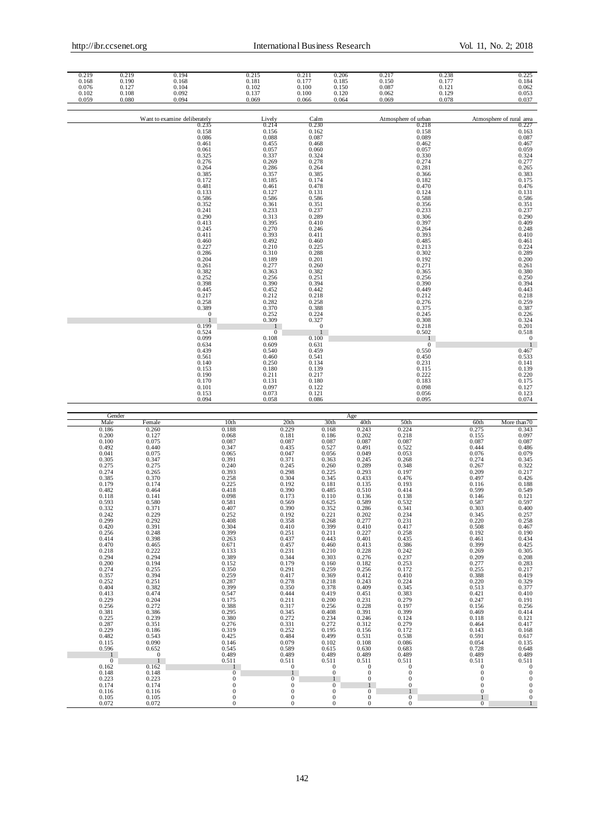| 0.219<br>0.168<br>0.076<br>0.102<br>0.059                                                                                                                                                                                                                                                                                                                                                                                                                                                           | 0.219<br>0.190<br>0.127<br>0.108<br>0.080                                                                                                                                                                                                                                                                                                                                                                                                                                                                                        | 0.194<br>0.168<br>0.104<br>0.092<br>0.094                                                                                                                                                                                                                                                                                                                                                                                                                                                                                 | 0.215<br>0.181<br>0.102<br>0.137<br>0.069                                                                                                                                                                                                                                                                                                                                                                                                                                                                                                                                                                       | 0.211<br>0.206<br>0.177<br>0.185<br>0.100<br>0.150<br>0.100<br>0.120<br>0.066<br>0.064                                                                                                                                                                                                                                                                                                                                                                                                                 |                                                                                                                                                                                                                                                                                                                                                                                                                                                                                                                                                                    | 0.217<br>0.150<br>0.087<br>0.062<br>0.069                                                                                                                                                                                                                                                                                                                                                                                                                                                                                                        | $\begin{array}{c} 0.238 \\ 0.177 \end{array}$<br>0.121<br>0.129<br>0.078                                                                                                                                                                                                                                                                                                                                                                                                                                                                          | 0.225<br>0.184<br>0.062<br>0.053<br>0.037                                                                                                                                                                                                                                                                                                                                                                                                                                                                                           |
|-----------------------------------------------------------------------------------------------------------------------------------------------------------------------------------------------------------------------------------------------------------------------------------------------------------------------------------------------------------------------------------------------------------------------------------------------------------------------------------------------------|----------------------------------------------------------------------------------------------------------------------------------------------------------------------------------------------------------------------------------------------------------------------------------------------------------------------------------------------------------------------------------------------------------------------------------------------------------------------------------------------------------------------------------|---------------------------------------------------------------------------------------------------------------------------------------------------------------------------------------------------------------------------------------------------------------------------------------------------------------------------------------------------------------------------------------------------------------------------------------------------------------------------------------------------------------------------|-----------------------------------------------------------------------------------------------------------------------------------------------------------------------------------------------------------------------------------------------------------------------------------------------------------------------------------------------------------------------------------------------------------------------------------------------------------------------------------------------------------------------------------------------------------------------------------------------------------------|--------------------------------------------------------------------------------------------------------------------------------------------------------------------------------------------------------------------------------------------------------------------------------------------------------------------------------------------------------------------------------------------------------------------------------------------------------------------------------------------------------|--------------------------------------------------------------------------------------------------------------------------------------------------------------------------------------------------------------------------------------------------------------------------------------------------------------------------------------------------------------------------------------------------------------------------------------------------------------------------------------------------------------------------------------------------------------------|--------------------------------------------------------------------------------------------------------------------------------------------------------------------------------------------------------------------------------------------------------------------------------------------------------------------------------------------------------------------------------------------------------------------------------------------------------------------------------------------------------------------------------------------------|---------------------------------------------------------------------------------------------------------------------------------------------------------------------------------------------------------------------------------------------------------------------------------------------------------------------------------------------------------------------------------------------------------------------------------------------------------------------------------------------------------------------------------------------------|-------------------------------------------------------------------------------------------------------------------------------------------------------------------------------------------------------------------------------------------------------------------------------------------------------------------------------------------------------------------------------------------------------------------------------------------------------------------------------------------------------------------------------------|
|                                                                                                                                                                                                                                                                                                                                                                                                                                                                                                     | Want to examine deliberately                                                                                                                                                                                                                                                                                                                                                                                                                                                                                                     | 0.235<br>0.158<br>0.086<br>0.461<br>0.061<br>0.325<br>0.276<br>0.264<br>0.385<br>0.172<br>0.481<br>0.133<br>0.586<br>0.352<br>0.241<br>0.290<br>0.413<br>0.245<br>0.411<br>0.460<br>0.227<br>0.286<br>0.204<br>0.261<br>0.382<br>0.252<br>0.398<br>0.445<br>0.217<br>0.258<br>0.389<br>$\mathbf{0}$<br>0.199<br>0.524<br>0.099<br>0.634<br>0.439<br>0.561<br>0.140<br>0.153<br>0.190<br>0.170<br>0.101<br>0.153<br>0.094                                                                                                  | Lively<br>0.214<br>0.156<br>0.088<br>0.455<br>0.057<br>0.337<br>0.269<br>0.286<br>0.357<br>0.185<br>0.461<br>0.127<br>0.586<br>0.361<br>0.233<br>0.313<br>0.395<br>0.270<br>0.393<br>0.492<br>0.210<br>0.310<br>0.189<br>0.277<br>0.363<br>0.256<br>0.390<br>0.452<br>0.212<br>0.282<br>0.370<br>0.252<br>0.309<br>$\mathbf{1}$<br>$\overline{0}$<br>0.108<br>0.609<br>0.540<br>0.460<br>0.250<br>0.180<br>0.211<br>0.131<br>0.097<br>0.073<br>0.058                                                                                                                                                            | Calm<br>0.230<br>0.162<br>0.087<br>0.468<br>0.060<br>0.324<br>0.278<br>0.264<br>0.385<br>0.174<br>0.478<br>0.131<br>0.586<br>0.351<br>0.237<br>0.289<br>0.410<br>0.246<br>0.411<br>0.460<br>0.225<br>0.288<br>0.201<br>0.260<br>0.382<br>0.251<br>0.394<br>0.442<br>0.218<br>0.258<br>0.388<br>0.224<br>0.327<br>$\mathbf{0}$<br>1<br>0.100<br>0.631<br>0.459<br>0.541<br>0.134<br>0.139<br>0.217<br>0.180<br>0.122<br>0.121<br>0.086                                                                  |                                                                                                                                                                                                                                                                                                                                                                                                                                                                                                                                                                    | Atmosphere of urban<br>0.218<br>0.158<br>0.089<br>0.462<br>0.057<br>0.330<br>0.274<br>0.281<br>0.366<br>0.182<br>0.470<br>0.124<br>0.588<br>0.356<br>0.233<br>0.306<br>0.397<br>0.264<br>0.393<br>0.485<br>0.213<br>0.302<br>0.192<br>0.271<br>0.365<br>0.256<br>0.390<br>0.449<br>0.212<br>0.276<br>0.375<br>0.245<br>0.308<br>0.218<br>0.502<br>$\mathbf{1}$<br>$\overline{0}$<br>0.550<br>0.450<br>0.231<br>0.115<br>0.222<br>0.183<br>0.098<br>0.056<br>0.095                                                                                |                                                                                                                                                                                                                                                                                                                                                                                                                                                                                                                                                   | Atmosphere of rural area<br>0.227<br>0.163<br>0.087<br>0.467<br>0.059<br>0.324<br>0.277<br>0.265<br>0.383<br>0.175<br>0.476<br>0.131<br>0.586<br>0.351<br>0.237<br>0.290<br>0.409<br>0.248<br>0.410<br>0.461<br>0.224<br>0.289<br>0.200<br>0.261<br>0.380<br>0.250<br>0.394<br>0.443<br>0.218<br>0.259<br>0.387<br>0.226<br>0.324<br>0.201<br>0.518<br>$\mathbf{0}$<br>$\mathbf{1}$<br>0.467<br>0.533<br>0.141<br>0.139<br>0.220<br>0.175<br>0.127<br>0.123<br>0.074                                                                |
| Gender                                                                                                                                                                                                                                                                                                                                                                                                                                                                                              |                                                                                                                                                                                                                                                                                                                                                                                                                                                                                                                                  |                                                                                                                                                                                                                                                                                                                                                                                                                                                                                                                           |                                                                                                                                                                                                                                                                                                                                                                                                                                                                                                                                                                                                                 |                                                                                                                                                                                                                                                                                                                                                                                                                                                                                                        | Age                                                                                                                                                                                                                                                                                                                                                                                                                                                                                                                                                                |                                                                                                                                                                                                                                                                                                                                                                                                                                                                                                                                                  |                                                                                                                                                                                                                                                                                                                                                                                                                                                                                                                                                   |                                                                                                                                                                                                                                                                                                                                                                                                                                                                                                                                     |
| Male<br>0.186<br>0.200<br>0.100<br>0.492<br>0.041<br>0.305<br>0.275<br>0.274<br>0.385<br>0.179<br>0.482<br>0.118<br>0.593<br>0.332<br>0.242<br>0.299<br>0.420<br>$0.256$<br>0.414<br>0.470<br>0.218<br>0.294<br>$0.200$<br>$0.274$<br>0.357<br>$\begin{array}{c} 0.252 \\ 0.404 \end{array}$<br>0.413<br>0.229<br>0.256<br>0.381<br>$\begin{array}{c} 0.225 \\ 0.287 \end{array}$<br>0.229<br>0.482<br>0.115<br>0.596<br>$\boldsymbol{0}$<br>0.162<br>0.148<br>$0.223$<br>$0.174$<br>0.116<br>0.105 | Female<br>0.260<br>$0.127$<br>0.127<br>0.075<br>0.440<br>0.075<br>0.347<br>0.275<br>0.265<br>$0.370$<br>$0.174$<br>$0.464$<br>0.141<br>0.580<br>$0.371$<br>$0.229$<br>0.292<br>0.391<br>$\begin{array}{c} 0.248 \\ 0.398 \\ 0.465 \\ 0.222 \\ 0.294 \\ 0.194 \\ 0.255 \\ 0.394 \\ 0.251 \end{array}$<br>0.382<br>$\begin{array}{c} 0.474 \\ 0.204 \end{array}$<br>0.272<br>0.386<br>0.239<br>0.351<br>0.186<br>0.543<br>0.090<br>0.652<br>$\boldsymbol{0}$<br>$\mathbf{1}$<br>0.162<br>0.148<br>0.223<br>0.174<br>0.116<br>0.105 | 10th<br>0.188<br>0.068<br>0.087<br>0.347<br>0.065<br>0.391<br>0.240<br>0.393<br>$0.258$<br>$0.225$<br>0.418<br>0.098<br>0.581<br>0.407<br>0.252<br>0.408<br>0.304<br>$0.399$<br>0.263<br>0.671<br>0.133<br>0.389<br>0.152<br>$0.350$<br>0.259<br>0.287<br>$0.399$<br>$0.547$<br>$0.175$<br>$\begin{array}{c} 0.388 \\ 0.295 \end{array}$<br>0.380<br>0.276<br>0.319<br>0.425<br>0.146<br>0.545<br>0.489<br>0.511<br>1<br>$\boldsymbol{0}$<br>$\boldsymbol{0}$<br>$\boldsymbol{0}$<br>$\boldsymbol{0}$<br>$\boldsymbol{0}$ | 20th<br>0.229<br>0.181<br>0.087<br>$0.435$<br>$0.047$<br>$0.371$<br>0.245<br>0.298<br>$0.304$<br>$0.192$<br>$0.390$<br>$0.173$<br>0.569<br>$\begin{array}{c} 0.390 \\ 0.192 \end{array}$<br>0.358<br>0.410<br>$\begin{array}{c} 0.251 \\ 0.437 \\ 0.457 \\ 0.231 \\ 0.344 \\ 0.179 \\ 0.291 \\ 0.417 \end{array}$<br>$\!\!\!\begin{array}{c} 0.278\\ 0.350 \end{array}\!\!\!\!$<br>0.444<br>0.211<br>0.317<br>0.345<br>0.272<br>0.331<br>0.252<br>0.484<br>0.079<br>0.589<br>0.489<br>0.511<br>$\boldsymbol{0}$<br>$\mathbf{1}$<br>$\boldsymbol{0}$<br>$\boldsymbol{0}$<br>$\boldsymbol{0}$<br>$\boldsymbol{0}$ | 30th<br>0.168<br>0.186<br>0.087<br>0.527<br>0.056<br>0.363<br>0.260<br>$0.225$<br>$0.345$<br>0.181<br>0.485<br>0.110<br>$0.625$<br>0.352<br>0.221<br>0.268<br>0.399<br>$0.333$<br>0.211<br>0.443<br>0.460<br>0.210<br>0.303<br>$0.160$<br>0.259<br>0.369<br>0.218<br>0.378<br>0.419<br>0.200<br>0.256<br>0.408<br>0.234<br>0.272<br>0.195<br>0.499<br>0.102<br>0.615<br>0.489<br>0.511<br>$\boldsymbol{0}$<br>$\mathbf{0}$<br>$\mathbf{1}$<br>$\boldsymbol{0}$<br>$\boldsymbol{0}$<br>$\boldsymbol{0}$ | 40th<br>0.243<br>0.202<br>$0.087$<br>$0.491$<br>$0.049$<br>$0.245$<br>0.289<br>0.289<br>0.433<br>0.433<br>0.135<br>0.510<br>0.136<br>$0.589$<br>$0.286$<br>$0.202$<br>0.277<br>$\begin{array}{c} 0.410 \\ 0.227 \\ 0.401 \\ 0.413 \\ 0.228 \\ 0.276 \\ 0.182 \\ 0.256 \\ 0.412 \\ 0.243 \\ 0.409 \\ 0.451 \\ 0.231 \\ 0.228 \\ 0.391 \end{array}$<br>$0.246$<br>$0.312$<br>0.156<br>0.531<br>0.108<br>$\begin{array}{c} 0.630 \\ 0.489 \end{array}$<br>0.511<br>$\bf{0}$<br>$\boldsymbol{0}$<br>$\mathbf{0}$<br>$\mathbf{1}$<br>$\overline{0}$<br>$\boldsymbol{0}$ | 50th<br>0.224<br>0.218<br>0.087<br>$\begin{array}{c} 0.522 \\ 0.053 \end{array}$<br>0.268<br>0.348<br>0.197<br>0.476<br>0.193<br>0.414<br>0.138<br>0.532<br>0.341<br>0.234<br>0.231<br>0.417<br>$\begin{array}{c} 0.258 \\ 0.435 \end{array}$<br>0.386<br>0.242<br>0.237<br>0.253<br>0.172<br>0.410<br>0.224<br>0.345<br>$\begin{array}{c} 0.383 \\ 0.279 \end{array}$<br>0.197<br>0.399<br>0.124<br>0.279<br>0.172<br>0.538<br>0.086<br>0.683<br>0.489<br>0.511<br>$\mathbf{0}$<br>$\boldsymbol{0}$<br>0<br>$\mathbf{0}$<br>1<br>$\overline{0}$ | 60th<br>0.275<br>0.155<br>0.087<br>0.444<br>0.076<br>$\begin{array}{c} 0.274 \\ 0.267 \end{array}$<br>0.209<br>0.497<br>0.116<br>0.599<br>0.146<br>0.587<br>0.303<br>0.345<br>0.220<br>0.508<br>$\begin{array}{c} 0.192 \\ 0.461 \\ 0.399 \\ 0.269 \\ 0.209 \\ 0.277 \\ 0.255 \\ 0.388 \\ 0.220 \end{array}$<br>0.513<br>0.421<br>0.247<br>0.156<br>0.469<br>0.118<br>0.464<br>0.143<br>0.591<br>0.054<br>0.728<br>0.489<br>0.511<br>$\boldsymbol{0}$<br>$\boldsymbol{0}$<br>$\mathbf{0}$<br>$\boldsymbol{0}$<br>$\boldsymbol{0}$<br>$\mathbf{1}$ | More than 70<br>0.343<br>$\begin{array}{c} 0.097 \\ 0.087 \end{array}$<br>0.486<br>0.079<br>0.345<br>$0.322$<br>$0.217$<br>0.426<br>0.188<br>0.549<br>0.121<br>0.597<br>0.400<br>0.257<br>0.258<br>0.467<br>$\begin{array}{c} 0.190 \\ 0.434 \\ 0.425 \\ 0.305 \\ 0.208 \\ 0.283 \\ 0.217 \\ 0.419 \\ 0.329 \\ 0.377 \end{array}$<br>0.410<br>0.191<br>0.256<br>0.414<br>0.121<br>0.417<br>0.168<br>0.617<br>0.135<br>0.648<br>0.489<br>0.511<br>$\boldsymbol{0}$<br>$\boldsymbol{0}$<br>$\mathbf{0}$<br>0<br>0<br>$\boldsymbol{0}$ |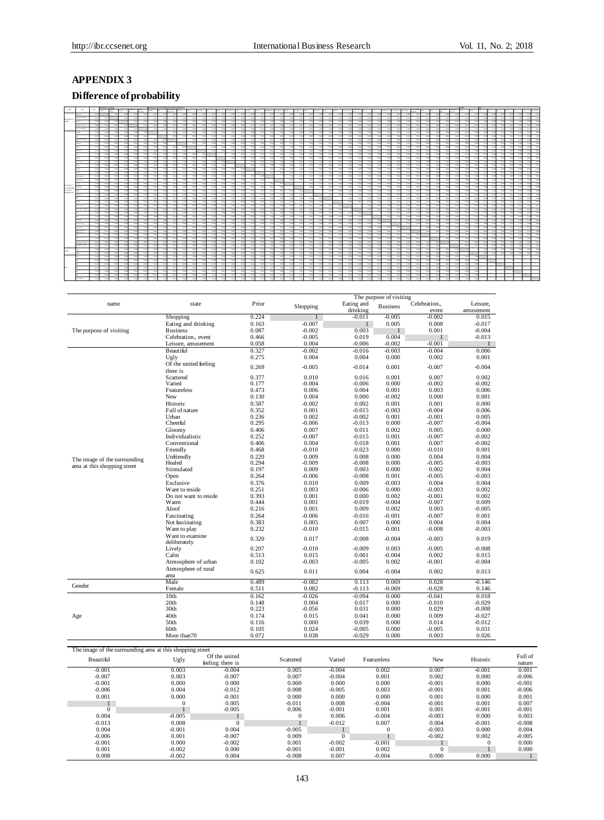# **APPENDIX 3**

# **Difference of probability**

| $\sim$                                         | <b>Made</b>               | Prior  |            |                       |             |        |                |         |          |             |           |            |                 |              |             |                  |                   |       |          |              |       |          |             |              |             |            |          |          |                   |          |                     |                 |            |              |            |             |                       |             |                 |         |              |                        |  |
|------------------------------------------------|---------------------------|--------|------------|-----------------------|-------------|--------|----------------|---------|----------|-------------|-----------|------------|-----------------|--------------|-------------|------------------|-------------------|-------|----------|--------------|-------|----------|-------------|--------------|-------------|------------|----------|----------|-------------------|----------|---------------------|-----------------|------------|--------------|------------|-------------|-----------------------|-------------|-----------------|---------|--------------|------------------------|--|
|                                                |                           |        |            |                       |             |        |                |         |          |             |           |            |                 |              |             |                  |                   |       |          |              |       |          |             |              |             |            |          |          |                   |          |                     |                 |            |              |            |             |                       |             |                 |         |              |                        |  |
|                                                | point-long-size           |        |            |                       |             |        | A/M            |         |          |             |           |            |                 |              |             |                  |                   |       |          |              |       |          |             |              |             |            |          |          |                   |          |                     |                 |            |              |            |             |                       |             |                 |         |              |                        |  |
| The parameters<br>Institute                    |                           |        |            |                       |             |        | $-0.005$       |         |          |             |           |            |                 |              |             |                  |                   |       |          |              |       |          |             |              |             |            |          |          |                   |          |                     |                 |            | 4.07         |            |             |                       |             |                 |         | <b>COL</b>   | o.xx                   |  |
|                                                | <b>MAGAZIN</b>            |        |            |                       |             | ARC    | <b>AND</b>     |         |          |             |           |            |                 |              |             |                  |                   |       |          |              |       |          |             |              |             |            |          |          |                   |          |                     |                 |            |              |            |             |                       |             |                 |         |              |                        |  |
|                                                | <b><i>Alan amount</i></b> |        | CLOSE      | 4.000<br>-nm          |             |        | <b>O/RE</b>    | 1.00    | -AMP     | contr       |           | <b>COL</b> | $-0.005$        |              |             | <b>Address</b>   | C-300             |       |          |              |       | A card   |             | <b>CORP.</b> |             |            |          |          | 0.005             |          | COMP.               | 0.003           | $-0.005$   | 0.005        | $-0.352$   | <b>COL</b>  |                       | ozo         |                 |         | <b>AND</b>   | ost<br>$-0.006$        |  |
|                                                |                           |        |            |                       |             |        |                |         |          |             |           |            |                 |              |             |                  |                   |       |          |              |       |          |             |              |             |            |          |          |                   |          |                     |                 |            |              |            |             |                       |             |                 |         |              |                        |  |
|                                                |                           | 0.775  | 0.30       | 0.006<br>0.35         |             |        |                |         | $-0.00$  | cons        | 1,448     | 0.30       | 0.005           | $-0.05$      | -000        | com              | ozn               |       |          | C-SEP        |       | $-0.005$ | 0.00        | <b>AND</b>   |             | $-0.325$   | $-0.00$  | AB.      | 0.306             |          | 0.32<br>-009        | 0.001           | $-0.00$    | 0.001        | -non       | <b>COL</b>  | <b>COL</b>            | $-0.07$     |                 |         |              | 0.328<br>ozn           |  |
|                                                |                           |        |            |                       |             |        |                |         |          |             |           |            |                 |              |             |                  |                   |       |          |              |       |          |             |              |             |            |          |          |                   |          |                     |                 |            |              |            |             |                       |             |                 |         |              | ose                    |  |
|                                                |                           |        |            |                       |             |        |                |         |          |             |           |            | 4.00            |              |             |                  |                   |       |          |              |       |          |             |              |             |            |          |          |                   |          |                     |                 |            |              |            |             |                       |             |                 |         |              |                        |  |
|                                                |                           |        | <b>AND</b> | 4.000                 |             | A RF   | <b>CONTROL</b> |         |          |             |           |            | 4.000           |              |             |                  |                   |       |          |              |       |          |             |              |             |            |          |          | <b>ANY</b>        |          | A39<br><b>COL</b>   | A RD            |            | 4.00         |            |             |                       |             |                 |         |              | one                    |  |
|                                                |                           | 0.477  | 0.306      | 0.006<br>0.35         | C-CATH      | 0.008  | A-May          |         |          |             |           |            | A card          | <b>0.500</b> | -600        | <b>Address</b>   | C-TEL             |       |          |              |       |          |             | <b>AND</b>   |             | $-0.002$   | A COV    | AB.      | ome               | 100      | $-0014$<br>O/MY     | -0.009          | <b>AM</b>  | 1,000        | - Children | <b>CORP</b> | 49.93                 | om          | <b>AND</b>      |         | <b>CLOSE</b> | 0.126<br>om            |  |
|                                                |                           |        |            | 0.000                 |             | A rest | $-0.005$       |         |          |             |           | <b>AN</b>  |                 |              |             |                  | A-MA              |       |          |              |       | 4.000    |             | <b>ANY</b>   | <b>ARCH</b> | <b>AND</b> | 4.00     |          | <b>CORP</b>       |          | 0.30<br>-now        | A ROL           | <b>AND</b> | <b>ACCO</b>  |            |             |                       |             |                 |         |              | ozu                    |  |
|                                                |                           | A WO   | <b>AND</b> | <b>A COVE</b><br>0.35 | <b>COLD</b> | 0.001  | oxe            | $-0.08$ |          |             |           |            |                 |              |             | 4,444            | <b>CONTR</b>      |       |          |              |       |          |             | <b>COM</b>   |             | -now       |          |          | A-MFT             |          | 0.301<br><b>COL</b> | 0.001           |            | 1000         | <b>AMP</b> |             | <b>AND</b>            | <b>AND</b>  | AM <sup>2</sup> |         |              | oze                    |  |
|                                                |                           |        |            | eccs                  |             |        |                |         |          |             |           |            |                 |              |             |                  |                   |       |          |              |       |          |             |              |             |            |          |          | ozn               |          | $-0.30$             |                 |            |              |            |             |                       |             |                 |         |              | ose                    |  |
|                                                |                           |        |            | 4.000<br><b>AM</b>    |             |        | A-MA           |         |          | <b>CONT</b> |           |            |                 |              |             |                  | <b>CONTRACTOR</b> |       |          |              |       | 4.000    |             | <b>COL</b>   |             |            |          |          | <b>CORP</b>       |          | COMP.               | A BOT           | <b>AND</b> | 1,000        | <b>AM</b>  |             |                       |             |                 |         |              | 0.130<br><b>AND</b>    |  |
|                                                |                           | 0.20   | $-0.39$    | $-0.053$<br>ozen      | $^{60}$     | 0.004  | ozo            |         | 0.33     | $-0012$     |           |            | $-0.000$        | 0.58         | con         | 1,440            |                   |       | 0.55     |              |       | 0.052    | A BO        | 0.055        |             | 0.30       | $-0.000$ | 0.01     | O.Th              |          | corp<br>$-0.30$     | 0.007           | 0.00       | 4.00         | - Grant    | -non        | 1.00<br>$-0.32$       | 0.117       | oan             |         | $-0.053$     | ozw<br>0.00            |  |
|                                                |                           |        |            |                       |             |        |                |         |          |             |           |            |                 |              |             |                  |                   |       |          |              |       |          |             |              |             |            |          |          |                   |          |                     |                 |            |              |            |             |                       |             |                 |         |              | 0.305                  |  |
|                                                |                           | A TOT  | <b>AND</b> | om<br>100             |             | A RF   | <b>COMP</b>    |         |          | -new        |           | <b>AND</b> | 4.000           | 0.58         |             |                  |                   |       |          |              |       |          |             |              |             | om.        | 4.00     |          | A/MV              |          |                     | 0.007           | <b>COM</b> | 4.000        | <b>AN</b>  | <b>ANY</b>  |                       | 6.15        | A/MW            |         |              |                        |  |
|                                                |                           |        | <b>COL</b> | 1,000<br><b>AM</b>    |             | A BOT  | <b>AND</b>     |         |          |             |           |            | 4.00            |              |             |                  |                   |       |          |              |       |          |             |              |             | -nm        |          | $\Delta$ | <b>CONTRACTOR</b> |          | COMP.               | Am-             |            | 4.00         |            |             |                       | 49.937      |                 |         |              | ozer<br><b>CONTROL</b> |  |
|                                                |                           |        |            |                       |             |        |                |         |          |             |           |            |                 |              |             |                  |                   |       |          |              |       |          |             |              |             |            |          |          |                   |          |                     |                 |            | 4.000        |            |             |                       | A W         |                 |         |              |                        |  |
|                                                | General                   |        |            |                       |             |        |                |         |          |             |           |            | 4.00            |              | -000        | A card           |                   |       |          |              |       | $-0.008$ |             | A/M          |             |            |          |          |                   |          |                     | A Bit           |            | 4.00         |            |             |                       |             |                 |         |              | 0.001                  |  |
| The integral<br>for community<br>display state |                           |        |            |                       |             |        |                |         |          |             |           |            |                 |              |             |                  |                   |       |          |              |       |          |             | <b>CLOSE</b> |             |            |          |          |                   |          | $-200$              | AB <sub>1</sub> |            |              |            |             |                       |             |                 |         |              | oze                    |  |
|                                                | mana                      | 0.257  | <b>COL</b> | 0.000<br>oze          | con         | 0.004  | oms            |         | $-0.007$ | cons        | 1,440     | 0.007      | 0.005           | $-0.001$     | -600        | <b>A control</b> | oard              | 4,000 |          |              |       |          |             | $-0.006$     | cool        | 0.301      | 4.00     | AB.      | oze               | 4.00     | -next<br>0.30       | 0.007           | <b>AND</b> | 1,000        | -AMB       | cont        | $-0.001$<br>1,440     | $-0.02$     | ozx             | $-0.07$ | $-0.00$      | <b>GOTH</b>            |  |
|                                                |                           |        |            | 0.000<br>$-0.008$     |             | 0.00   |                |         |          | con         |           |            | $-0.00$         |              |             |                  | ozn               |       |          |              |       | 0.008    |             |              |             |            |          |          | ozn               |          |                     | 0.00            |            | $-0.00$      | 0.35       |             |                       |             |                 |         |              | 0.325                  |  |
|                                                |                           |        |            |                       |             |        |                |         |          |             |           |            |                 |              |             |                  |                   |       |          |              |       |          |             |              |             | $-0.002$   |          |          |                   |          |                     |                 |            |              |            |             |                       | $-0.117$    |                 |         |              |                        |  |
|                                                |                           |        |            |                       |             |        | 0.30           |         |          | cont        |           |            |                 |              |             |                  |                   |       |          |              |       |          |             |              |             |            |          |          |                   |          |                     |                 |            |              |            |             |                       |             |                 |         |              |                        |  |
|                                                |                           |        | <b>COL</b> | 1.000<br><b>AMP</b>   |             | A RE   | <b>AND</b>     |         |          | <b>COL</b>  |           |            | 4.000           |              |             |                  |                   |       |          |              |       |          |             |              |             |            |          |          | <b>CORP</b>       | -4.00    |                     |                 |            |              |            |             |                       |             |                 |         |              |                        |  |
|                                                |                           |        |            | 4.000                 | <b>AND</b>  |        | ome            |         |          | cont        |           | $-0.00$    | $-4.005$        |              |             |                  |                   |       |          |              |       |          |             |              |             |            |          |          |                   |          |                     |                 |            | $-400$       |            |             |                       | -0.15       |                 |         |              | oxi<br>000             |  |
|                                                |                           |        |            | 4,000<br>0.002        |             | 0.007  | $-0.006$       |         |          |             |           |            | 10 <sup>2</sup> |              |             | A-MA             | <b>AND</b>        |       |          |              |       |          |             |              |             |            | A-OD     |          |                   | $-0.007$ | $-0.005$            |                 |            | 4.00         |            |             |                       |             |                 |         |              | ome                    |  |
|                                                |                           |        | $-0.006$   | 4.014                 |             |        | 0.002          |         |          | $-0011$     |           |            | $-0.006$        |              |             | 4,000            |                   |       |          |              |       |          |             | 0.000        |             |            | 400      |          | $^{02}$           |          | occ                 | $-0.05$         |            | 4.00         |            |             |                       | 0.12        | ozn             |         |              | 0.328<br>osc           |  |
|                                                |                           |        |            | 1.007                 |             |        |                |         |          |             |           |            |                 |              |             |                  |                   |       |          |              |       |          |             |              |             |            |          |          |                   |          | $-005$              |                 |            |              |            |             |                       |             |                 |         |              | 0.06                   |  |
|                                                |                           |        |            | -non<br>100           |             | A.M.   |                |         |          | -next       |           |            | 4.000           |              | <b>COL</b>  | 14,000           | <b>COL</b>        |       |          |              |       | A COT    |             |              |             |            | 4.00     |          | <b>AND</b>        |          |                     |                 | <b>COL</b> | 4.000        |            |             |                       |             |                 |         |              | 0.114<br>0.32          |  |
|                                                |                           |        |            |                       |             |        | <b>AND</b>     |         |          |             |           |            |                 |              |             |                  |                   |       |          |              |       |          |             |              |             |            |          |          |                   |          |                     |                 |            |              |            |             |                       |             |                 |         |              | 0.144                  |  |
|                                                |                           | 0.207  |            | $-0.009$<br>0.30      |             | 0.003  | oath           |         |          | $-0011$     |           |            | $-0.005$        |              |             | 14,440           |                   |       |          |              |       |          |             |              |             |            | 4.00     |          | 0.32              |          | $-200$              | 0.05            |            |              |            |             |                       | 0.15        |                 |         | om           | oan                    |  |
|                                                |                           |        |            |                       |             |        | <b>AND</b>     |         |          |             |           |            | 1.000           |              |             |                  |                   |       |          |              |       |          |             |              |             |            | A-OD     |          |                   |          |                     |                 |            |              | -ANY       |             |                       |             |                 |         |              | oza                    |  |
|                                                |                           |        | $-0.001$   | A cred<br>0.002       |             | A.M.   | oxe            |         |          | contr       |           | $^{022}$   | $-400$          |              | <b>COL</b>  | <b>ARE</b>       | <b>CONTROL</b>    |       |          |              |       |          |             |              |             |            |          |          | oxc               |          | $-0.35$             | 0.004           |            | $-400$       |            |             |                       |             |                 |         |              |                        |  |
|                                                |                           |        |            |                       |             |        |                |         |          |             |           |            |                 |              |             |                  |                   |       |          |              |       |          |             |              |             |            |          |          |                   |          |                     |                 |            |              |            |             |                       |             |                 |         |              | 0.337                  |  |
|                                                |                           |        | <b>AND</b> | 6.111<br><b>COM</b>   |             |        | <b>ANY</b>     | 4.00    |          | news        |           |            | 4.000           |              |             | Ann A            | C-MW              |       |          |              |       |          |             |              |             |            |          |          | <b>CONTR</b>      |          | -nm                 | A FM            |            |              |            | <b>ARE</b>  |                       | <b>CORP</b> |                 |         |              | 0.300<br>0.32          |  |
|                                                |                           | 0.311  | $-0.002$   | $-0.115$<br>$-0.36%$  |             |        |                |         |          |             |           |            | copy            |              |             | 10014            | oze               |       |          |              |       |          |             |              |             | $-0.301$   | $-0.05$  |          | $-0.02$           |          | 0.30                |                 |            |              |            |             |                       |             | 0.300           | 0.300   | 0.300        | 0.300<br>0.300         |  |
|                                                |                           |        |            |                       |             |        |                |         |          |             |           |            |                 |              |             |                  |                   |       |          |              |       |          |             |              |             |            |          |          |                   |          |                     |                 |            |              |            |             |                       |             |                 |         |              |                        |  |
|                                                |                           | 0.14   | <b>COL</b> | A COT<br><b>AND</b>   |             |        |                |         |          |             |           |            |                 |              |             |                  |                   |       |          |              |       |          |             |              |             |            |          |          | <b>ANY</b>        |          |                     |                 |            |              |            |             |                       |             |                 |         |              |                        |  |
|                                                |                           |        |            |                       |             |        |                |         |          |             |           |            |                 |              |             |                  |                   |       |          |              |       |          |             |              |             |            |          |          |                   |          |                     |                 |            |              |            |             |                       |             |                 |         |              |                        |  |
|                                                |                           |        |            |                       |             |        |                |         |          |             |           |            |                 |              |             |                  |                   |       |          |              |       |          |             |              |             |            |          |          | <b>AMP</b>        |          |                     | A.M.            |            | 4,000        |            |             |                       |             |                 |         |              |                        |  |
|                                                |                           |        | <b>COL</b> | com<br>0.35           |             |        | $-0.021$       |         |          |             |           |            | 1,000           |              |             | <b>Address</b>   | APR <sup>2</sup>  |       |          |              |       |          |             | AND          |             | <b>AM</b>  | 2.08     | ABC      | <b>CLOSE</b>      |          |                     | 0.01            |            |              |            |             |                       |             |                 |         |              |                        |  |
|                                                |                           |        |            |                       |             |        | $-0.057$       |         |          |             |           |            |                 |              |             |                  |                   |       |          |              |       |          |             |              |             |            |          |          | ozza              | $-0.067$ | $-0.082$<br>0.024   |                 |            |              |            |             |                       |             |                 |         |              |                        |  |
|                                                | Martin Ball               | G. STO | 0.028      | oze<br>4,029          | contri      | 0.826  | <b>OOK</b>     | 0.052   | didn't   |             | core cars | 0.002      | 4,000           |              | 0.000 0.000 | <b>CODA</b>      | $-0.30$           | 1.011 | $-0.012$ | oate<br>1000 | 0.028 | $-0.051$ | <b>GARD</b> | 4067         | 0.006       | GALLEY     | $-0.008$ | 0.001    | <b>CORP.</b>      | 4.000    | o.me<br>comp        | <b>GLES</b>     | 4000       | <b>GLOCK</b> | 0.027      | copin       | 1,000<br><b>C-300</b> |             |                 |         |              |                        |  |

|                                                              |                                   |       | The purpose of visiting |                        |                 |                       |                                       |  |  |  |
|--------------------------------------------------------------|-----------------------------------|-------|-------------------------|------------------------|-----------------|-----------------------|---------------------------------------|--|--|--|
| name                                                         | state                             | Prior | Shopping                | Eating and<br>drinking | <b>Business</b> | Celebration,<br>event | Leisure.<br>amusement                 |  |  |  |
|                                                              | Shopping                          | 0.224 | $\mathbf{1}$            | $-0.011$               | $-0.005$        | $-0.002$              | 0.015                                 |  |  |  |
|                                                              | Eating and drinking               | 0.163 | $-0.007$                | $\mathbf{1}$           | 0.005           | 0.008                 | $-0.017$                              |  |  |  |
| The purpose of visiting                                      | <b>Business</b>                   | 0.087 | $-0.002$                | 0.003                  | $\mathbf{1}$    | 0.001                 | $-0.004$                              |  |  |  |
|                                                              | Celebration, event                | 0.466 | $-0.005$                | 0.019                  | 0.004           | $\mathbf{1}$          | $-0.013$                              |  |  |  |
|                                                              | Leisure, amusement                | 0.058 | 0.004                   | $-0.006$               | $-0.002$        | $-0.001$              | $\mathbf{1}$                          |  |  |  |
|                                                              | Beautiful                         | 0.327 | $-0.002$                | $-0.016$               | $-0.003$        | $-0.004$              | 0.006                                 |  |  |  |
|                                                              | Ugly                              | 0.275 | 0.004                   | 0.004                  | 0.000           | 0.002                 | 0.001                                 |  |  |  |
|                                                              | Of the united feeling<br>there is | 0.269 | $-0.005$                | $-0.014$               | 0.001           | $-0.007$              | $-0.004$                              |  |  |  |
|                                                              | Scattered                         | 0.377 | 0.010                   | 0.016                  | 0.001           | 0.007                 | 0.002                                 |  |  |  |
|                                                              | Varied                            | 0.177 | $-0.004$                | $-0.006$               | 0.000           | $-0.002$              | $-0.002$                              |  |  |  |
|                                                              | Featureless                       | 0.473 | 0.006                   | 0.004                  | 0.001           | 0.003                 | 0.006                                 |  |  |  |
|                                                              | New                               | 0.130 | 0.004                   | 0.000                  | $-0.002$        | 0.000                 | 0.001                                 |  |  |  |
|                                                              | Historic                          | 0.587 | $-0.002$                | 0.002                  | 0.001           | 0.001                 | 0.000                                 |  |  |  |
|                                                              | Full of nature                    | 0.352 | 0.001                   | $-0.015$               | $-0.003$        | $-0.004$              | 0.006                                 |  |  |  |
|                                                              | Urban                             | 0.236 | 0.002                   | $-0.002$               | 0.001           | $-0.001$              | 0.005                                 |  |  |  |
|                                                              | Cheerful                          | 0.295 | $-0.006$                | $-0.013$               | 0.000           | $-0.007$              | $-0.004$                              |  |  |  |
|                                                              | Gloomy                            | 0.406 | 0.007                   | 0.011                  | 0.002           | 0.005                 | 0.000                                 |  |  |  |
|                                                              | Individualistic                   | 0.252 | $-0.007$                | $-0.015$               | 0.001           | $-0.007$              | $-0.002$                              |  |  |  |
|                                                              | Conventional                      | 0.406 | 0.004                   | 0.018                  | 0.001           | 0.007                 | $-0.002$                              |  |  |  |
|                                                              | Friendly                          | 0.468 | $-0.010$                | $-0.023$               | 0.000           | $-0.010$              | 0.001                                 |  |  |  |
|                                                              | Unfriendly                        | 0.220 | 0.009                   | 0.008                  | 0.000           | 0.004                 | 0.004                                 |  |  |  |
| The image of the surrounding<br>area at this shopping street | Healed                            | 0.294 | $-0.009$                | $-0.008$               | 0.000           | $-0.005$              | $-0.003$                              |  |  |  |
|                                                              | Stimulated                        |       | 0.009                   |                        |                 |                       |                                       |  |  |  |
|                                                              |                                   | 0.197 |                         | 0.003                  | 0.000           | 0.002                 | 0.004                                 |  |  |  |
|                                                              | Open                              | 0.264 | $-0.006$                | $-0.008$               | 0.001           | $-0.005$              | $-0.003$                              |  |  |  |
|                                                              | Exclusive                         | 0.376 | 0.010                   | 0.009                  | $-0.003$        | 0.004                 | 0.004                                 |  |  |  |
|                                                              | Want to reside                    | 0.251 | 0.003                   | $-0.006$               | 0.000           | $-0.003$              | 0.002                                 |  |  |  |
|                                                              | Do not want to reside             | 0.393 | 0.001                   | 0.000                  | 0.002           | $-0.001$              | 0.002                                 |  |  |  |
|                                                              | Warm                              | 0.444 | 0.001                   | $-0.019$               | $-0.004$        | $-0.007$              | 0.009                                 |  |  |  |
|                                                              | Aloof                             | 0.216 | 0.001                   | 0.009                  | 0.002           | 0.003                 | $-0.005$                              |  |  |  |
|                                                              | Fascinating                       | 0.264 | $-0.006$                | $-0.016$               | $-0.001$        | $-0.007$              | 0.001                                 |  |  |  |
|                                                              | Not fascinating                   | 0.383 | 0.005                   | 0.007                  | 0.000           | 0.004                 | 0.004                                 |  |  |  |
|                                                              | Want to play                      | 0.232 | $-0.010$                | $-0.015$               | $-0.001$        | $-0.008$              | $-0.003$                              |  |  |  |
|                                                              | Want to examine<br>deliberately   | 0.320 | 0.017                   | $-0.008$               | $-0.004$        | $-0.003$              | 0.019                                 |  |  |  |
|                                                              | Lively                            | 0.207 | $-0.010$                | $-0.009$               | 0.003           | $-0.005$              | $-0.008$                              |  |  |  |
|                                                              | Calm                              | 0.513 | 0.015                   | 0.001                  | $-0.004$        | 0.002                 | 0.015                                 |  |  |  |
|                                                              | Atmosphere of urban               | 0.102 | $-0.003$                | $-0.005$               | 0.002           | $-0.001$              | $-0.004$                              |  |  |  |
|                                                              | Atmosphere of rural<br>area       | 0.625 | 0.011                   | 0.004                  | $-0.004$        | 0.002                 | 0.013                                 |  |  |  |
|                                                              | Male                              | 0.489 | $-0.082$                | 0.113                  | 0.069           | 0.028                 | $-0.146$                              |  |  |  |
| Gender                                                       | Female                            | 0.511 | 0.082                   | $-0.113$               | $-0.069$        | $-0.028$              | 0.146                                 |  |  |  |
|                                                              | 10th                              | 0.162 | $-0.026$                | $-0.094$               | 0.000           | $-0.041$              | 0.018                                 |  |  |  |
|                                                              | 20th                              | 0.148 | 0.004                   | 0.017                  | 0.000           | $-0.010$              | $-0.029$                              |  |  |  |
|                                                              | 30th                              | 0.223 | $-0.056$                | 0.031                  | 0.000           | 0.029                 | $-0.008$                              |  |  |  |
| Age                                                          | 40th                              | 0.174 | 0.015                   | 0.041                  | 0.000           | 0.009                 | $-0.027$                              |  |  |  |
|                                                              | 50th                              | 0.116 | 0.000                   | 0.039                  | 0.000           | 0.014                 | $-0.012$                              |  |  |  |
|                                                              | 60th                              | 0.105 | 0.024                   | $-0.005$               | 0.000           | $-0.005$              | 0.031                                 |  |  |  |
|                                                              | More than70                       | 0.072 | 0.038                   | $-0.029$               | 0.000           | 0.003                 | 0.026                                 |  |  |  |
| The image of the surrounding area at this shopping street    |                                   |       |                         |                        |                 |                       |                                       |  |  |  |
|                                                              | Of the united<br>$x + 1$          |       |                         |                        |                 |                       | $T$ $T$ <sup>+</sup><br>$\sim$ $\sim$ |  |  |  |

| Beautiful    | Ugly     | Of the united<br>feeling there is | Scattered | Varied   | Featureless | New      | Historic | Full of<br>nature |
|--------------|----------|-----------------------------------|-----------|----------|-------------|----------|----------|-------------------|
| $-0.001$     | 0.003    | $-0.004$                          | 0.005     | $-0.004$ | 0.002       | 0.007    | $-0.001$ | 0.001             |
| $-0.007$     | 0.003    | $-0.007$                          | 0.007     | $-0.004$ | 0.001       | 0.002    | 0.000    | $-0.006$          |
| $-0.001$     | 0.000    | 0.000                             | 0.000     | 0.000    | 0.000       | $-0.001$ | 0.000    | $-0.001$          |
| $-0.006$     | 0.004    | $-0.012$                          | 0.008     | $-0.005$ | 0.003       | $-0.001$ | 0.001    | $-0.006$          |
| 0.001        | 0.000    | $-0.001$                          | 0.000     | 0.000    | 0.000       | 0.001    | 0.000    | 0.001             |
|              |          | 0.005                             | $-0.011$  | 0.008    | $-0.004$    | $-0.001$ | 0.001    | 0.007             |
| $\mathbf{0}$ |          | $-0.005$                          | 0.006     | $-0.001$ | 0.001       | 0.001    | $-0.001$ | $-0.001$          |
| 0.004        | $-0.005$ |                                   | 0         | 0.006    | $-0.004$    | $-0.003$ | 0.000    | 0.003             |
| $-0.013$     | 0.008    | $\Omega$                          |           | $-0.012$ | 0.007       | 0.004    | $-0.001$ | $-0.008$          |
| 0.004        | $-0.001$ | 0.004                             | $-0.005$  |          |             | $-0.003$ | 0.000    | 0.004             |
| $-0.006$     | 0.001    | $-0.007$                          | 0.009     |          |             | $-0.002$ | 0.002    | $-0.005$          |
| $-0.001$     | 0.000    | $-0.002$                          | 0.001     | $-0.002$ | $-0.001$    |          |          | 0.000             |
| 0.001        | $-0.002$ | 0.000                             | $-0.001$  | $-0.001$ | 0.002       | 0        |          | 0.000             |
| 0.008        | $-0.002$ | 0.004                             | $-0.008$  | 0.007    | $-0.004$    | 0.000    | 0.000    |                   |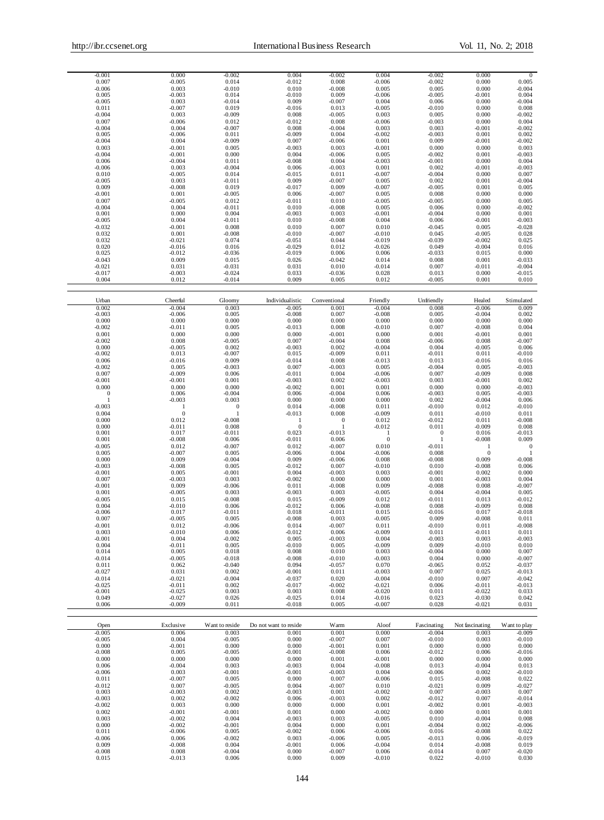| $-0.001$                                      |              |                |                                                |                  |                     |              |                  |                  |
|-----------------------------------------------|--------------|----------------|------------------------------------------------|------------------|---------------------|--------------|------------------|------------------|
|                                               | 0.000        | $-0.002$       | 0.004                                          | $-0.002$         | 0.004               | $-0.002$     | 0.000            | $\overline{0}$   |
| 0.007                                         | $-0.005$     | 0.014          | $-0.012$                                       | 0.008            | $-0.006$            | $-0.002$     | 0.000            | 0.005            |
| $-0.006$                                      | 0.003        | $-0.010$       | 0.010                                          | $-0.008$         | 0.005               | 0.005        | 0.000            | $-0.004$         |
| 0.005                                         | $-0.003$     | 0.014          | $-0.010$                                       | 0.009            | $-0.006$            | $-0.005$     | $-0.001$         | 0.004            |
| $-0.005$                                      | 0.003        | $-0.014$       | 0.009                                          | $-0.007$         | 0.004               | 0.006        | 0.000            | $-0.004$         |
|                                               |              |                |                                                |                  |                     |              |                  |                  |
| 0.011                                         | $-0.007$     | 0.019          | $-0.016$                                       | 0.013            | $-0.005$            | $-0.010$     | 0.000            | 0.008            |
| $-0.004$                                      | 0.003        | $-0.009$       | 0.008                                          | $-0.005$         | 0.003               | 0.005        | 0.000            | $-0.002$         |
| 0.007                                         | $-0.006$     | 0.012          | $-0.012$                                       | 0.008            | $-0.006$            | $-0.003$     | 0.000            | 0.004            |
| $-0.004$                                      | 0.004        | $-0.007$       | 0.008                                          | $-0.004$         | 0.003               | 0.003        | $-0.001$         | $-0.002$         |
| 0.005                                         | $-0.006$     | 0.011          | $-0.009$                                       | 0.004            | $-0.002$            | $-0.003$     | 0.001            | 0.002            |
| $-0.004$                                      | 0.004        | $-0.009$       | 0.007                                          | $-0.006$         | 0.001               | 0.009        | $-0.001$         | $-0.002$         |
|                                               |              |                |                                                |                  |                     |              |                  |                  |
| 0.003                                         | $-0.001$     | 0.005          | $-0.003$                                       | 0.003            | $-0.001$            | 0.000        | 0.000            | 0.003            |
| $-0.004$                                      | $-0.001$     | 0.000          | 0.004                                          | $-0.006$         | 0.005               | $-0.002$     | 0.001            | $-0.003$         |
| 0.006                                         | $-0.004$     | 0.011          | $-0.008$                                       | 0.004            | $-0.003$            | $-0.001$     | 0.000            | 0.004            |
| $-0.006$                                      | 0.003        | $-0.004$       | 0.006                                          | $-0.003$         | 0.001               | 0.002        | $-0.001$         | $-0.003$         |
| 0.010                                         | $-0.005$     | 0.014          | $-0.015$                                       | 0.011            | $-0.007$            | $-0.004$     | 0.000            | 0.007            |
| $-0.005$                                      | 0.003        | $-0.011$       | 0.009                                          | $-0.007$         | 0.005               | 0.002        | 0.001            | $-0.004$         |
|                                               |              |                |                                                |                  |                     |              |                  |                  |
| 0.009                                         | $-0.008$     | 0.019          | $-0.017$                                       | 0.009            | $-0.007$            | $-0.005$     | 0.001            | 0.005            |
| $-0.001$                                      | 0.001        | $-0.005$       | 0.006                                          | $-0.007$         | 0.005               | 0.008        | 0.000            | 0.000            |
| 0.007                                         | $-0.005$     | 0.012          | $-0.011$                                       | 0.010            | $-0.005$            | $-0.005$     | 0.000            | 0.005            |
| $-0.004$                                      | 0.004        | $-0.011$       | 0.010                                          | $-0.008$         | 0.005               | 0.006        | 0.000            | $-0.002$         |
| 0.001                                         | 0.000        | 0.004          | $-0.003$                                       | 0.003            | $-0.001$            | $-0.004$     | 0.000            | 0.001            |
|                                               |              |                |                                                |                  |                     |              |                  |                  |
| $-0.005$                                      | 0.004        | $-0.011$       | 0.010                                          | $-0.008$         | 0.004               | 0.006        | $-0.001$         | $-0.003$         |
| $-0.032$                                      | $-0.001$     | 0.008          | 0.010                                          | 0.007            | 0.010               | $-0.045$     | 0.005            | $-0.028$         |
| 0.032                                         | 0.001        | $-0.008$       | $-0.010$                                       | $-0.007$         | $-0.010$            | 0.045        | $-0.005$         | 0.028            |
| 0.032                                         | $-0.021$     | 0.074          | $-0.051$                                       | 0.044            | $-0.019$            | $-0.039$     | $-0.002$         | 0.025            |
| 0.020                                         | $-0.016$     | 0.016          | $-0.029$                                       | 0.012            | $-0.026$            | 0.049        | $-0.004$         | 0.016            |
| 0.025                                         | $-0.012$     | $-0.036$       | $-0.019$                                       | 0.006            | 0.006               | $-0.033$     | 0.015            | 0.000            |
|                                               |              |                |                                                |                  |                     |              |                  |                  |
| $-0.043$                                      | 0.009        | 0.015          | 0.026                                          | $-0.042$         | 0.014               | 0.008        | 0.001            | $-0.033$         |
| $-0.021$                                      | 0.031        | $-0.031$       | 0.031                                          | 0.010            | $-0.014$            | 0.007        | $-0.011$         | $-0.004$         |
| $-0.017$                                      | $-0.003$     | $-0.024$       | 0.033                                          | $-0.036$         | 0.028               | 0.013        | 0.000            | $-0.015$         |
| 0.004                                         | 0.012        | $-0.014$       | 0.009                                          | 0.005            | 0.012               | $-0.005$     | 0.001            | 0.010            |
|                                               |              |                |                                                |                  |                     |              |                  |                  |
|                                               |              |                |                                                |                  |                     |              |                  |                  |
|                                               |              |                |                                                |                  |                     |              |                  |                  |
| Urban                                         | Cheerful     | Gloomy         | Individualistic                                | Conventional     | Friendly            | Unfriendly   | Healed           | Stimulated       |
| 0.002                                         | $-0.004$     | 0.003          | $-0.005$                                       | 0.001            | $-0.004$            | 0.008        | $-0.006$         | 0.009            |
| $-0.003$                                      | $-0.006$     | 0.005          | $-0.008$                                       | 0.007            | $-0.008$            | 0.005        | $-0.004$         | 0.002            |
| 0.000                                         | 0.000        | 0.000          | 0.000                                          | 0.000            | 0.000               | 0.000        | 0.000            | 0.000            |
| $-0.002$                                      | $-0.011$     | 0.005          | $-0.013$                                       | 0.008            | $-0.010$            | 0.007        | $-0.008$         | 0.004            |
|                                               |              |                |                                                |                  |                     |              |                  |                  |
| 0.001                                         | 0.000        | 0.000          | 0.000                                          | $-0.001$         | 0.000               | 0.001        | $-0.001$         | 0.001            |
| $-0.002$                                      | 0.008        | $-0.005$       | 0.007                                          | $-0.004$         | 0.008               | $-0.006$     | 0.008            | $-0.007$         |
| 0.000                                         | $-0.005$     | 0.002          | $-0.003$                                       | 0.002            | $-0.004$            | 0.004        | $-0.005$         | 0.006            |
| $-0.002$                                      | 0.013        | $-0.007$       | 0.015                                          | $-0.009$         | 0.011               | $-0.011$     | 0.011            | $-0.010$         |
| 0.006                                         | $-0.016$     | 0.009          | $-0.014$                                       | 0.008            | $-0.013$            | 0.013        | $-0.016$         | 0.016            |
|                                               |              |                |                                                |                  |                     |              |                  |                  |
| $-0.002$                                      | 0.005        | $-0.003$       | 0.007                                          | $-0.003$         | 0.005               | $-0.004$     | 0.005            | $-0.003$         |
| 0.007                                         | $-0.009$     | 0.006          | $-0.011$                                       | 0.004            | $-0.006$            | 0.007        | $-0.009$         | 0.008            |
| $-0.001$                                      | $-0.001$     | 0.001          | $-0.003$                                       | 0.002            | $-0.003$            | 0.003        | $-0.001$         | 0.002            |
| 0.000                                         | 0.000        | 0.000          | $-0.002$                                       | 0.001            | 0.001               | 0.000        | 0.000            | $-0.003$         |
| $\boldsymbol{0}$                              | 0.006        | $-0.004$       | 0.006                                          | $-0.004$         | 0.006               | $-0.003$     | 0.005            | $-0.003$         |
| 1                                             | $-0.003$     | 0.003          | 0.000                                          | 0.000            | 0.000               | 0.002        | $-0.004$         | 0.006            |
|                                               |              |                |                                                |                  |                     |              |                  |                  |
| $-0.003$                                      | $\mathbf{1}$ | $\mathbf{0}$   | 0.014                                          | $-0.008$         | 0.011               | $-0.010$     | 0.012            | $-0.010$         |
| 0.004                                         | $\mathbf{0}$ | 1              | $-0.013$                                       | 0.008            | $-0.009$            | 0.011        | $-0.010$         | 0.011            |
| 0.000                                         | 0.012        | $-0.008$       | $\mathbf{1}$                                   | $\boldsymbol{0}$ | 0.012               | $-0.012$     | 0.011            | $-0.008$         |
| 0.000                                         | $-0.011$     | 0.008          | $\mathbf 0$                                    | $\mathbf{1}$     | $-0.012$            | 0.011        | $-0.009$         | 0.008            |
|                                               |              |                |                                                |                  |                     |              |                  |                  |
|                                               |              |                |                                                |                  |                     |              |                  |                  |
| 0.001                                         | 0.017        | $-0.011$       | 0.023                                          | $-0.013$         | 1                   | $\bf{0}$     | 0.016            | $-0.013$         |
| 0.001                                         | $-0.008$     | 0.006          | $-0.011$                                       | 0.006            | $\boldsymbol{0}$    | $\mathbf{1}$ | $-0.008$         | 0.009            |
| $-0.005$                                      | 0.012        | $-0.007$       | 0.012                                          | $-0.007$         | 0.010               | $-0.011$     | 1                | $\boldsymbol{0}$ |
|                                               |              | 0.005          |                                                |                  |                     |              | $\boldsymbol{0}$ | $\mathbf{1}$     |
| 0.005                                         | $-0.007$     |                | $-0.006$                                       | 0.004            | $-0.006$            | 0.008        |                  |                  |
| 0.000                                         | 0.009        | $-0.004$       | 0.009                                          | $-0.006$         | 0.008               | $-0.008$     | 0.009            | $-0.008$         |
| $-0.003$                                      | $-0.008$     | 0.005          | $-0.012$                                       | 0.007            | $-0.010$            | 0.010        | $-0.008$         | 0.006            |
| $-0.001$                                      | 0.005        | $-0.001$       | 0.004                                          | $-0.003$         | 0.003               | $-0.001$     | 0.002            | 0.000            |
| 0.007                                         | $-0.003$     | 0.003          | $-0.002$                                       | 0.000            | 0.000               | 0.001        | $-0.003$         | 0.004            |
| $-0.001$                                      | 0.009        | $-0.006$       | 0.011                                          | $-0.008$         | 0.009               | $-0.008$     | 0.008            | $-0.007$         |
|                                               |              |                |                                                |                  |                     |              |                  |                  |
| 0.001                                         | $-0.005$     | 0.003          | $-0.003$                                       | 0.003            | $-0.005$            | 0.004        | $-0.004$         | 0.005            |
| $-0.005$                                      | 0.015        | $-0.008$       | 0.015                                          | $-0.009$         | 0.012               | $-0.011$     | 0.013            | $-0.012$         |
| 0.004                                         | $-0.010$     | 0.006          | $-0.012$                                       | 0.006            | $-0.008$            | 0.008        | $-0.009$         | 0.008            |
| $-0.006$                                      | 0.017        | $-0.011$       | 0.018                                          | $-0.011$         | 0.015               | $-0.016$     | 0.017            | $-0.018$         |
| 0.007                                         | $-0.005$     | 0.005          | $-0.008$                                       | 0.003            | $-0.005$            | 0.009        | $-0.008$         | 0.011            |
| -0.001                                        | 0.012        | $-0.006$       | 0.014                                          | $-0.007$         | 0.011               | $-0.010$     | 0.011            |                  |
|                                               |              |                |                                                |                  |                     |              |                  | $-0.008$         |
| 0.003                                         | $-0.010$     | 0.006          | $-0.012$                                       | 0.006            | $-0.009$            | 0.011        | $-0.011$         | 0.011            |
| $-0.001$                                      | 0.004        | $-0.002$       | 0.005                                          | $-0.003$         | 0.004               | $-0.003$     | 0.003            | $-0.003$         |
|                                               | $-0.011$     | 0.005          |                                                | 0.005            |                     | 0.009        | $-0.010$         | 0.010            |
| $\begin{array}{c} 0.004 \\ 0.014 \end{array}$ | 0.005        | 0.018          | $\begin{array}{c} -0.010 \\ 0.008 \end{array}$ | 0.010            | $-0.009$<br>$0.003$ | $-0.004$     | 0.000            | 0.007            |
| $-0.014$                                      | $-0.005$     | $-0.018$       | $-0.008$                                       | $-0.010$         | $-0.003$            | 0.004        | 0.000            | $-0.007$         |
| 0.011                                         | 0.062        | $-0.040$       | 0.094                                          | $-0.057$         | 0.070               | $-0.065$     | 0.052            | $-0.037$         |
| $-0.027$                                      | 0.031        | 0.002          | $-0.001$                                       | 0.011            | $-0.003$            | 0.007        | 0.025            | $-0.013$         |
| $-0.014$                                      | $-0.021$     | $-0.004$       | $-0.037$                                       | 0.020            | $-0.004$            | $-0.010$     | 0.007            | $-0.042$         |
|                                               |              |                |                                                |                  |                     |              |                  |                  |
| $-0.025$                                      | $-0.011$     | 0.002          | $-0.017$                                       | $-0.002$         | $-0.021$            | 0.006        | $-0.011$         | $-0.013$         |
| $-0.001$                                      | $-0.025$     | 0.003          | 0.003                                          | 0.008            | $-0.020$            | 0.011        | $-0.022$         | 0.033            |
| 0.049                                         | $-0.027$     | 0.026          | $-0.025$                                       | 0.014            | $-0.016$            | 0.023        | $-0.030$         | 0.042            |
| 0.006                                         | $-0.009$     | 0.011          | $-0.018$                                       | 0.005            | $-0.007$            | 0.028        | $-0.021$         | 0.031            |
|                                               |              |                |                                                |                  |                     |              |                  |                  |
|                                               |              |                |                                                |                  |                     |              |                  |                  |
| Open                                          | Exclusive    | Want to reside | Do not want to reside                          | Warm             | Aloof               | Fascinating  | Not fascinating  |                  |
|                                               |              |                |                                                |                  |                     |              |                  | Want to play     |
| $-0.005$                                      | 0.006        | 0.003          | 0.001                                          | 0.001            | 0.000               | $-0.004$     | 0.003            | $-0.009$         |
| $-0.005$                                      | 0.004        | $-0.005$       | 0.000                                          | $-0.007$         | 0.007               | $-0.010$     | 0.003            | $-0.010$         |
| 0.000                                         | $-0.001$     | 0.000          | 0.000                                          | $-0.001$         | 0.001               | 0.000        | 0.000            | 0.000            |
| $-0.008$                                      | 0.005        | $-0.005$       | $-0.001$                                       | $-0.008$         | 0.006               | $-0.012$     | 0.006            | $-0.016$         |
|                                               |              |                | 0.000                                          |                  |                     | 0.000        |                  | 0.000            |
| 0.000                                         | 0.000        | 0.000          |                                                | 0.001            | $-0.001$            |              | 0.000            |                  |
| 0.006                                         | $-0.004$     | 0.003          | $-0.003$                                       | 0.004            | $-0.008$            | 0.013        | $-0.004$         | 0.013            |
| $-0.006$                                      | 0.003        | $-0.001$       | $-0.001$                                       | $-0.003$         | 0.004               | $-0.006$     | 0.002            | $-0.010$         |
| 0.011                                         | $-0.007$     | 0.005          | 0.000                                          | 0.007            | $-0.006$            | 0.015        | $-0.008$         | 0.022            |
| $-0.012$                                      | 0.007        | $-0.005$       | 0.004                                          | $-0.007$         |                     | $-0.021$     | 0.009            | $-0.027$         |
|                                               | $-0.003$     | 0.002          | $-0.003$                                       |                  |                     | 0.007        |                  | 0.007            |
| 0.003                                         |              |                |                                                | 0.001            | $0.010$<br>$-0.002$ |              | $-0.003$         |                  |
| $-0.003$                                      | 0.002        | $-0.002$       | 0.006                                          | $-0.003$         | 0.002               | $-0.012$     | 0.007            | $-0.014$         |
| $-0.002$                                      | 0.003        | 0.000          | 0.000                                          | 0.000            | 0.001               | $-0.002$     | 0.001            | $-0.003$         |
| 0.002                                         | $-0.001$     | $-0.001$       | 0.001                                          | 0.000            | $-0.002$            | 0.000        | 0.001            | 0.001            |
| 0.003                                         | $-0.002$     | 0.004          | $-0.003$                                       | 0.003            | $-0.005$            | 0.010        | $-0.004$         | 0.008            |
| 0.000                                         | $-0.002$     | $-0.001$       | 0.004                                          | 0.000            | 0.001               | $-0.004$     | 0.002            | $-0.006$         |
|                                               | $-0.006$     |                |                                                |                  |                     | 0.016        |                  | 0.022            |
| 0.011                                         |              | 0.005          | $-0.002$                                       | 0.006            | $-0.006$            |              | $-0.008$         |                  |
| $-0.006$                                      | 0.006        | $-0.002$       | 0.003                                          | $-0.006$         | 0.005               | $-0.013$     | 0.006            | $-0.019$         |
| 0.009                                         | $-0.008$     | 0.004          | $-0.001$                                       | 0.006            | $-0.004$            | 0.014        | $-0.008$         | 0.019            |
| $-0.008$                                      | 0.008        | $-0.004$       | 0.000                                          | $-0.007$         | 0.006               | $-0.014$     | 0.007            | $-0.020$         |
| 0.015                                         | $-0.013$     | 0.006          | 0.000                                          | 0.009            | $-0.010$            | 0.022        | $-0.010$         | 0.030            |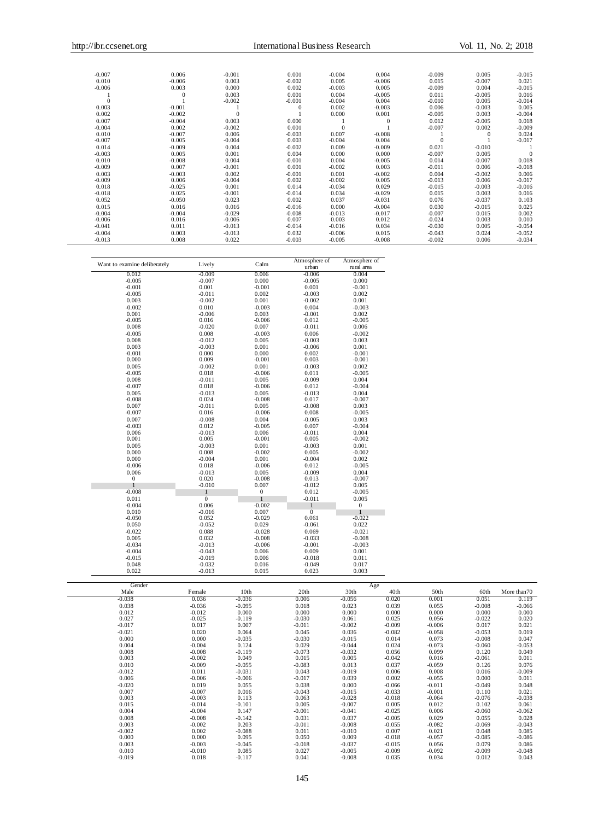÷,

| $-0.007$ | 0.006    | $-0.001$ | 0.001    | $-0.004$ | 0.004    | $-0.009$ | 0.005    | $-0.015$ |
|----------|----------|----------|----------|----------|----------|----------|----------|----------|
| 0.010    | $-0.006$ | 0.003    | $-0.002$ | 0.005    | $-0.006$ | 0.015    | $-0.007$ | 0.021    |
| $-0.006$ | 0.003    | 0.000    | 0.002    | $-0.003$ | 0.005    | $-0.009$ | 0.004    | $-0.015$ |
|          | $\theta$ | 0.003    | 0.001    | 0.004    | $-0.005$ | 0.011    | $-0.005$ | 0.016    |
| $\Omega$ |          | $-0.002$ | $-0.001$ | $-0.004$ | 0.004    | $-0.010$ | 0.005    | $-0.014$ |
| 0.003    | $-0.001$ |          | $\Omega$ | 0.002    | $-0.003$ | 0.006    | $-0.003$ | 0.005    |
| 0.002    | $-0.002$ | $\Omega$ |          | 0.000    | 0.001    | $-0.005$ | 0.003    | $-0.004$ |
| 0.007    | $-0.004$ | 0.003    | 0.000    |          | 0        | 0.012    | $-0.005$ | 0.018    |
| $-0.004$ | 0.002    | $-0.002$ | 0.001    | $\Omega$ |          | $-0.007$ | 0.002    | $-0.009$ |
| 0.010    | $-0.007$ | 0.006    | $-0.003$ | 0.007    | $-0.008$ |          | $\Omega$ | 0.024    |
| $-0.007$ | 0.005    | $-0.004$ | 0.003    | $-0.004$ | 0.004    |          |          | $-0.017$ |
| 0.014    | $-0.009$ | 0.004    | $-0.002$ | 0.009    | $-0.009$ | 0.021    | $-0.010$ |          |
| $-0.003$ | 0.005    | 0.001    | 0.004    | 0.000    | 0.000    | $-0.007$ | 0.005    | $\Omega$ |
| 0.010    | $-0.008$ | 0.004    | $-0.001$ | 0.004    | $-0.005$ | 0.014    | $-0.007$ | 0.018    |
| $-0.009$ | 0.007    | $-0.001$ | 0.001    | $-0.002$ | 0.003    | $-0.011$ | 0.006    | $-0.018$ |
| 0.003    | $-0.003$ | 0.002    | $-0.001$ | 0.001    | $-0.002$ | 0.004    | $-0.002$ | 0.006    |
| $-0.009$ | 0.006    | $-0.004$ | 0.002    | $-0.002$ | 0.005    | $-0.013$ | 0.006    | $-0.017$ |
| 0.018    | $-0.025$ | 0.001    | 0.014    | $-0.034$ | 0.029    | $-0.015$ | $-0.003$ | $-0.016$ |
| $-0.018$ | 0.025    | $-0.001$ | $-0.014$ | 0.034    | $-0.029$ | 0.015    | 0.003    | 0.016    |
| 0.052    | $-0.050$ | 0.023    | 0.002    | 0.037    | $-0.031$ | 0.076    | $-0.037$ | 0.103    |
| 0.015    | 0.016    | 0.016    | $-0.016$ | 0.000    | $-0.004$ | 0.030    | $-0.015$ | 0.025    |
| $-0.004$ | $-0.004$ | $-0.029$ | $-0.008$ | $-0.013$ | $-0.017$ | $-0.007$ | 0.015    | 0.002    |
| $-0.006$ | 0.016    | $-0.006$ | 0.007    | 0.003    | 0.012    | $-0.024$ | 0.003    | 0.010    |
| $-0.041$ | 0.011    | $-0.013$ | $-0.014$ | $-0.016$ | 0.034    | $-0.030$ | 0.005    | $-0.054$ |
| $-0.004$ | 0.003    | $-0.013$ | 0.032    | $-0.006$ | 0.015    | $-0.043$ | 0.024    | $-0.052$ |
| $-0.013$ | 0.008    | 0.022    | $-0.003$ | $-0.005$ | $-0.008$ | $-0.002$ | 0.006    | $-0.034$ |
|          |          |          |          |          |          |          |          |          |

| Want to examine deliberately | Lively         | Calm             | Atmosphere of  | Atmosphere of    |
|------------------------------|----------------|------------------|----------------|------------------|
|                              |                |                  | urban          | rural area       |
| 0.012                        | $-0.009$       | 0.006            | $-0.006$       | 0.004            |
| $-0.005$                     | $-0.007$       | 0.000            | $-0.005$       | 0.000            |
| $-0.001$                     | 0.001          | $-0.001$         | 0.001          | $-0.001$         |
| $-0.005$                     | $-0.011$       | 0.002            | $-0.003$       | 0.002            |
| 0.003                        | $-0.002$       | 0.001            | $-0.002$       | 0.001            |
| $-0.002$                     | 0.010          | $-0.003$         | 0.004          | $-0.003$         |
| 0.001                        | $-0.006$       | 0.003            | $-0.001$       | 0.002            |
| $-0.005$                     | 0.016          | $-0.006$         | 0.012          | $-0.005$         |
| 0.008                        | $-0.020$       | 0.007            | $-0.011$       | 0.006            |
| $-0.005$                     | 0.008          | $-0.003$         | 0.006          | $-0.002$         |
| 0.008                        | $-0.012$       | 0.005            | $-0.003$       | 0.003            |
| 0.003                        | $-0.003$       | 0.001            | $-0.006$       | 0.001            |
| $-0.001$                     | 0.000          | 0.000            | 0.002          | $-0.001$         |
| 0.000                        | 0.009          | $-0.001$         | 0.003          | $-0.001$         |
| 0.005                        | $-0.002$       | 0.001            | $-0.003$       | 0.002            |
| $-0.005$                     | 0.018          | $-0.006$         | 0.011          | $-0.005$         |
| 0.008                        | $-0.011$       | 0.005            | $-0.009$       | 0.004            |
| $-0.007$                     | 0.018          | $-0.006$         | 0.012          | $-0.004$         |
| 0.005                        | $-0.013$       | 0.005            | $-0.013$       | 0.004            |
| $-0.008$                     | 0.024          | $-0.008$         | 0.017          | $-0.007$         |
| 0.007                        | $-0.011$       | 0.005            | $-0.008$       | 0.003            |
| $-0.007$                     | 0.016          | $-0.006$         | 0.008          | $-0.005$         |
| 0.007                        | $-0.008$       | 0.004            | $-0.005$       | 0.003            |
| $-0.003$                     | 0.012          | $-0.005$         | 0.007          | $-0.004$         |
| 0.006                        | $-0.013$       | 0.006            | $-0.011$       | 0.004            |
| 0.001                        | 0.005          | $-0.001$         | 0.005          | $-0.002$         |
| 0.005                        | $-0.003$       | 0.001            | $-0.003$       | 0.001            |
| 0.000                        | 0.008          | $-0.002$         | 0.005          | $-0.002$         |
| 0.000                        | $-0.004$       | 0.001            | $-0.004$       | 0.002            |
| $-0.006$                     | 0.018          | $-0.006$         | 0.012          | $-0.005$         |
| 0.006                        | $-0.013$       | 0.005            | $-0.009$       | 0.004            |
| $\bf{0}$                     | 0.020          | $-0.008$         | 0.013          | $-0.007$         |
| $\mathbf{1}$                 | $-0.010$       | 0.007            | $-0.012$       | 0.005            |
| $-0.008$                     | $\mathbf{1}$   | $\boldsymbol{0}$ | 0.012          | $-0.005$         |
| 0.011                        | $\overline{0}$ | $\mathbf{1}$     | $-0.011$       | 0.005            |
| $-0.004$                     | 0.006          | $-0.002$         | $\,1$          | $\boldsymbol{0}$ |
| 0.010                        | $-0.016$       | 0.007            | $\overline{0}$ | $\mathbf{1}$     |
| $-0.050$                     | 0.052          | $-0.029$         | 0.061          | $-0.022$         |
| 0.050                        | $-0.052$       | 0.029            | $-0.061$       | 0.022            |
| $-0.022$                     | 0.088          | $-0.028$         | 0.069          | $-0.021$         |
| 0.005                        | 0.032          | $-0.008$         | $-0.033$       | $-0.008$         |
| $-0.034$                     | $-0.013$       | $-0.006$         | $-0.001$       | $-0.003$         |
| $-0.004$                     | $-0.043$       | 0.006            | 0.009          | 0.001            |
| $-0.015$                     | $-0.019$       | 0.006            | $-0.018$       | 0.011            |
| 0.048                        | $-0.032$       | 0.016            | $-0.049$       | 0.017            |
| 0.022                        | $-0.013$       | 0.015            | 0.023          | 0.003            |

| Gender   |          |                  |          |          | Age      |          |          |              |
|----------|----------|------------------|----------|----------|----------|----------|----------|--------------|
| Male     | Female   | 10 <sub>th</sub> | 20th     | 30th     | 40th     | 50th     | 60th     | More than 70 |
| $-0.038$ | 0.036    | $-0.036$         | 0.006    | $-0.056$ | 0.020    | 0.001    | 0.051    | 0.119        |
| 0.038    | $-0.036$ | $-0.095$         | 0.018    | 0.023    | 0.039    | 0.055    | $-0.008$ | $-0.066$     |
| 0.012    | $-0.012$ | 0.000            | 0.000    | 0.000    | 0.000    | 0.000    | 0.000    | 0.000        |
| 0.027    | $-0.025$ | $-0.119$         | $-0.030$ | 0.061    | 0.025    | 0.056    | $-0.022$ | 0.020        |
| $-0.017$ | 0.017    | 0.007            | $-0.011$ | $-0.002$ | $-0.009$ | $-0.006$ | 0.017    | 0.021        |
| $-0.021$ | 0.020    | 0.064            | 0.045    | 0.036    | $-0.082$ | $-0.058$ | $-0.053$ | 0.019        |
| 0.000    | 0.000    | $-0.035$         | $-0.030$ | $-0.015$ | 0.014    | 0.073    | $-0.008$ | 0.047        |
| 0.004    | $-0.004$ | 0.124            | 0.029    | $-0.044$ | 0.024    | $-0.073$ | $-0.060$ | $-0.053$     |
| 0.008    | $-0.008$ | $-0.119$         | $-0.073$ | $-0.032$ | 0.056    | 0.099    | 0.120    | 0.049        |
| 0.003    | $-0.002$ | 0.049            | 0.015    | 0.005    | $-0.042$ | 0.016    | $-0.061$ | 0.011        |
| 0.010    | $-0.009$ | $-0.055$         | $-0.083$ | 0.013    | 0.037    | $-0.059$ | 0.126    | 0.076        |
| $-0.012$ | 0.011    | $-0.031$         | 0.043    | $-0.019$ | 0.006    | 0.008    | 0.016    | $-0.009$     |
| 0.006    | $-0.006$ | $-0.006$         | $-0.017$ | 0.039    | 0.002    | $-0.055$ | 0.000    | 0.011        |
| $-0.020$ | 0.019    | 0.055            | 0.038    | 0.000    | $-0.066$ | $-0.011$ | $-0.049$ | 0.048        |
| 0.007    | $-0.007$ | 0.016            | $-0.043$ | $-0.015$ | $-0.033$ | $-0.001$ | 0.110    | 0.021        |
| 0.003    | $-0.003$ | 0.113            | 0.063    | $-0.028$ | $-0.018$ | $-0.064$ | $-0.076$ | $-0.038$     |
| 0.015    | $-0.014$ | $-0.101$         | 0.005    | $-0.007$ | 0.005    | 0.012    | 0.102    | 0.061        |
| 0.004    | $-0.004$ | 0.147            | $-0.001$ | $-0.041$ | $-0.025$ | 0.006    | $-0.060$ | $-0.062$     |
| 0.008    | $-0.008$ | $-0.142$         | 0.031    | 0.037    | $-0.005$ | 0.029    | 0.055    | 0.028        |
| 0.003    | $-0.002$ | 0.203            | $-0.011$ | $-0.008$ | $-0.055$ | $-0.082$ | $-0.069$ | $-0.043$     |
| $-0.002$ | 0.002    | $-0.088$         | 0.011    | $-0.010$ | 0.007    | 0.021    | 0.048    | 0.085        |
| 0.000    | 0.000    | 0.095            | 0.050    | 0.009    | $-0.018$ | $-0.057$ | $-0.085$ | $-0.086$     |
| 0.003    | $-0.003$ | $-0.045$         | $-0.018$ | $-0.037$ | $-0.015$ | 0.056    | 0.079    | 0.086        |
| 0.010    | $-0.010$ | 0.085            | 0.027    | $-0.005$ | $-0.009$ | $-0.092$ | $-0.009$ | $-0.048$     |
| $-0.019$ | 0.018    | $-0.117$         | 0.041    | $-0.008$ | 0.035    | 0.034    | 0.012    | 0.043        |